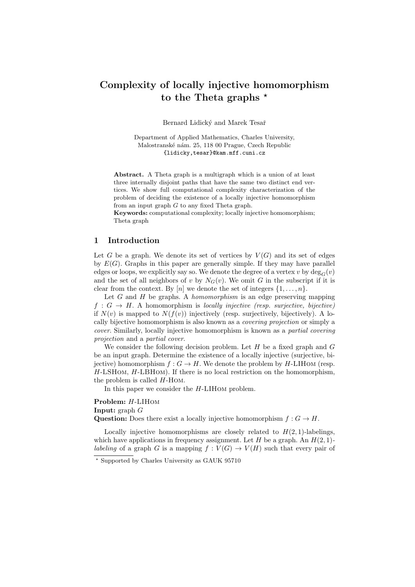# Complexity of locally injective homomorphism to the Theta graphs  $*$

Bernard Lidický and Marek Tesař

Department of Applied Mathematics, Charles University, Malostranské nám. 25, 118 00 Prague, Czech Republic {lidicky,tesar}@kam.mff.cuni.cz

Abstract. A Theta graph is a multigraph which is a union of at least three internally disjoint paths that have the same two distinct end vertices. We show full computational complexity characterization of the problem of deciding the existence of a locally injective homomorphism from an input graph G to any fixed Theta graph.

Keywords: computational complexity; locally injective homomorphism; Theta graph

# 1 Introduction

Let G be a graph. We denote its set of vertices by  $V(G)$  and its set of edges by  $E(G)$ . Graphs in this paper are generally simple. If they may have parallel edges or loops, we explicitly say so. We denote the degree of a vertex v by  $\deg_G(v)$ and the set of all neighbors of v by  $N_G(v)$ . We omit G in the subscript if it is clear from the context. By [n] we denote the set of integers  $\{1, \ldots, n\}$ .

Let  $G$  and  $H$  be graphs. A *homomorphism* is an edge preserving mapping  $f : G \to H$ . A homomorphism is locally injective (resp. surjective, bijective) if  $N(v)$  is mapped to  $N(f(v))$  injectively (resp. surjectively, bijectively). A locally bijective homomorphism is also known as a covering projection or simply a cover. Similarly, locally injective homomorphism is known as a partial covering projection and a partial cover.

We consider the following decision problem. Let  $H$  be a fixed graph and  $G$ be an input graph. Determine the existence of a locally injective (surjective, bijective) homomorphism  $f: G \to H$ . We denote the problem by H-LIHOM (resp.  $H\text{-LSHOM}, H\text{-LBHOM}$ . If there is no local restriction on the homomorphism, the problem is called H-Hom.

In this paper we consider the H-LIHom problem.

Problem: H-LIHom **Input:** graph  $G$ Question: Does there exist a locally injective homomorphism  $f: G \to H$ .

Locally injective homomorphisms are closely related to  $H(2, 1)$ -labelings, which have applications in frequency assignment. Let H be a graph. An  $H(2, 1)$ labeling of a graph G is a mapping  $f: V(G) \to V(H)$  such that every pair of

<sup>?</sup> Supported by Charles University as GAUK 95710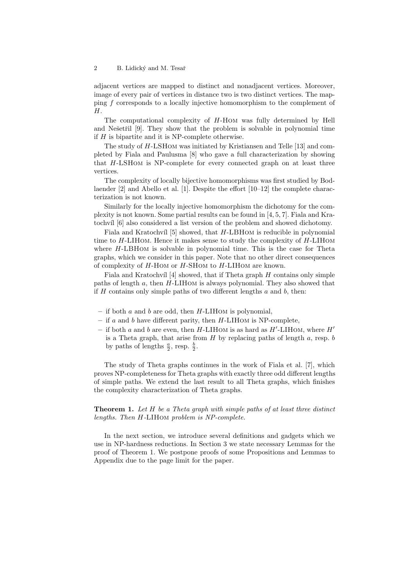adjacent vertices are mapped to distinct and nonadjacent vertices. Moreover, image of every pair of vertices in distance two is two distinct vertices. The mapping f corresponds to a locally injective homomorphism to the complement of  $H$ .

The computational complexity of H-Hom was fully determined by Hell and Ne $\check{\text{se }}$  [9]. They show that the problem is solvable in polynomial time if  $H$  is bipartite and it is NP-complete otherwise.

The study of H-LSHom was initiated by Kristiansen and Telle [13] and completed by Fiala and Paulusma [8] who gave a full characterization by showing that H-LSHom is NP-complete for every connected graph on at least three vertices.

The complexity of locally bijective homomorphisms was first studied by Bodlaender [2] and Abello et al. [1]. Despite the effort [10–12] the complete characterization is not known.

Similarly for the locally injective homomorphism the dichotomy for the complexity is not known. Some partial results can be found in [4, 5, 7]. Fiala and Kratochv´ıl [6] also considered a list version of the problem and showed dichotomy.

Fiala and Kratochvíl  $[5]$  showed, that H-LBHOM is reducible in polynomial time to  $H$ -LIHOM. Hence it makes sense to study the complexity of  $H$ -LIHOM where H-LBHOM is solvable in polynomial time. This is the case for Theta graphs, which we consider in this paper. Note that no other direct consequences of complexity of H-Hom or H-SHom to H-LIHom are known.

Fiala and Kratochvíl  $[4]$  showed, that if Theta graph  $H$  contains only simple paths of length a, then H-LIHom is always polynomial. They also showed that if  $H$  contains only simple paths of two different lengths  $a$  and  $b$ , then:

- if both  $a$  and  $b$  are odd, then  $H$ -LIHOM is polynomial,
- if  $a$  and  $b$  have different parity, then  $H$ -LIHOM is NP-complete,
- if both a and b are even, then  $H$ -LIHOM is as hard as  $H'$ -LIHOM, where  $H'$ is a Theta graph, that arise from  $H$  by replacing paths of length  $a$ , resp.  $b$ by paths of lengths  $\frac{a}{2}$ , resp.  $\frac{b}{2}$ .

The study of Theta graphs continues in the work of Fiala et al. [7], which proves NP-completeness for Theta graphs with exactly three odd different lengths of simple paths. We extend the last result to all Theta graphs, which finishes the complexity characterization of Theta graphs.

**Theorem 1.** Let  $H$  be a Theta graph with simple paths of at least three distinct lengths. Then H-LIHom problem is NP-complete.

In the next section, we introduce several definitions and gadgets which we use in NP-hardness reductions. In Section 3 we state necessary Lemmas for the proof of Theorem 1. We postpone proofs of some Propositions and Lemmas to Appendix due to the page limit for the paper.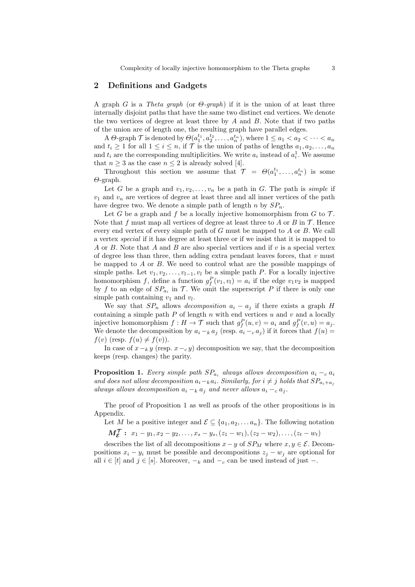Complexity of locally injective homomorphism to the Theta graphs 3

# 2 Definitions and Gadgets

A graph G is a Theta graph (or  $\Theta$ -graph) if it is the union of at least three internally disjoint paths that have the same two distinct end vertices. We denote the two vertices of degree at least three by  $A$  and  $B$ . Note that if two paths of the union are of length one, the resulting graph have parallel edges.

A  $\Theta$ -graph  $\mathcal T$  is denoted by  $\Theta(a_1^{t_1}, a_2^{t_2}, \ldots, a_n^{t_n})$ , where  $1 \leq a_1 < a_2 < \cdots < a_n$ and  $t_i \geq 1$  for all  $1 \leq i \leq n$ , if  $\mathcal T$  is the union of paths of lengths  $a_1, a_2, \ldots, a_n$ and  $t_i$  are the corresponding multiplicities. We write  $a_i$  instead of  $a_i^1$ . We assume that  $n \geq 3$  as the case  $n \leq 2$  is already solved [4].

Throughout this section we assume that  $\mathcal{T} = \Theta(a_1^{t_1}, \ldots, a_n^{t_n})$  is some Θ-graph.

Let G be a graph and  $v_1, v_2, \ldots, v_n$  be a path in G. The path is *simple* if  $v_1$  and  $v_n$  are vertices of degree at least three and all inner vertices of the path have degree two. We denote a simple path of length n by  $SP_n$ .

Let G be a graph and f be a locally injective homomorphism from  $G$  to  $\mathcal{T}$ . Note that f must map all vertices of degree at least three to A or B in  $\mathcal T$ . Hence every end vertex of every simple path of  $G$  must be mapped to  $A$  or  $B$ . We call a vertex special if it has degree at least three or if we insist that it is mapped to A or B. Note that A and B are also special vertices and if  $v$  is a special vertex of degree less than three, then adding extra pendant leaves forces, that  $v$  must be mapped to A or B. We need to control what are the possible mappings of simple paths. Let  $v_1, v_2, \ldots, v_{l-1}, v_l$  be a simple path P. For a locally injective homomorphism f, define a function  $g_f^P(v_1, v_l) = a_i$  if the edge  $v_1v_2$  is mapped by f to an edge of  $SP_{a_i}$  in T. We omit the superscript P if there is only one simple path containing  $v_1$  and  $v_l$ .

We say that  $SP_n$  allows *decomposition*  $a_i - a_j$  if there exists a graph H containing a simple path  $P$  of length  $n$  with end vertices  $u$  and  $v$  and a locally injective homomorphism  $f: H \to \mathcal{T}$  such that  $g_f^P(u, v) = a_i$  and  $g_f^P(v, u) = a_j$ . We denote the decomposition by  $a_i -_k a_j$  (resp.  $a_i -_c a_j$ ) if it forces that  $f(u) =$  $f(v)$  (resp.  $f(u) \neq f(v)$ ).

In case of  $x-\mu y$  (resp.  $x-\mu y$ ) decomposition we say, that the decomposition keeps (resp. changes) the parity.

**Proposition 1.** Every simple path  $SP_{a_i}$  always allows decomposition  $a_i - c_i$ and does not allow decomposition  $a_i-\mathrm{k} a_i$ . Similarly, for  $i \neq j$  holds that  $SP_{a_i+a_j}$ always allows decomposition  $a_i -_k a_j$  and never allows  $a_i -_c a_j$ .

The proof of Proposition 1 as well as proofs of the other propositions is in Appendix.

Let M be a positive integer and  $\mathcal{E} \subseteq \{a_1, a_2, \ldots a_n\}$ . The following notation

 $M_{\mathcal{E}}^{\mathcal{T}}: x_1-y_1, x_2-y_2, \ldots, x_s-y_s, (z_1-w_1), (z_2-w_2), \ldots, (z_t-w_t)$ 

describes the list of all decompositions  $x - y$  of  $SP_M$  where  $x, y \in \mathcal{E}$ . Decompositions  $x_i - y_i$  must be possible and decompositions  $z_j - w_j$  are optional for all  $i \in [t]$  and  $j \in [s]$ . Moreover,  $-k$  and  $-c$  can be used instead of just  $-$ .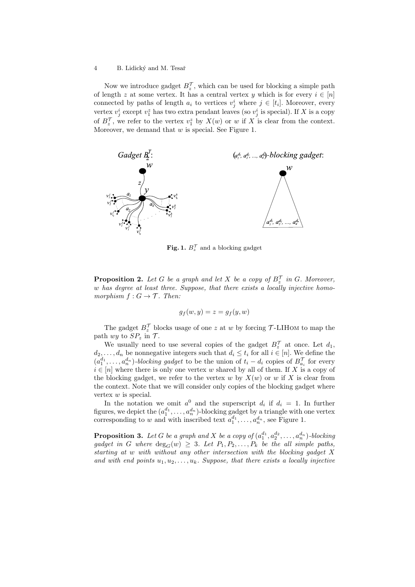Now we introduce gadget  $B_z^{\mathcal{T}}$ , which can be used for blocking a simple path of length z at some vertex. It has a central vertex y which is for every  $i \in [n]$ connected by paths of length  $a_i$  to vertices  $v_j^i$  where  $j \in [t_i]$ . Moreover, every vertex  $v_j^i$  except  $v_1^z$  has two extra pendant leaves (so  $v_j^i$  is special). If X is a copy of  $B_z^{\mathcal{T}}$ , we refer to the vertex  $v_1^z$  by  $X(w)$  or w if X is clear from the context. Moreover, we demand that  $w$  is special. See Figure 1.



**Fig. 1.**  $B_z^{\mathcal{T}}$  and a blocking gadget

**Proposition 2.** Let G be a graph and let X be a copy of  $B_z^{\mathcal{T}}$  in G. Moreover, w has degree at least three. Suppose, that there exists a locally injective homomorphism  $f: G \to \mathcal{T}$ . Then:

$$
g_f(w, y) = z = g_f(y, w)
$$

The gadget  $B_z^{\mathcal{T}}$  blocks usage of one z at w by forcing  $\mathcal{T}\text{-}\text{L}$ HOM to map the path wy to  $SP_z$  in  $T$ .

We usually need to use several copies of the gadget  $B_z^{\mathcal{T}}$  at once. Let  $d_1$ ,  $d_2, \ldots, d_n$  be nonnegative integers such that  $d_i \leq t_i$  for all  $i \in [n]$ . We define the  $(a_1^{d_1}, \ldots, a_n^{d_n})$ -blocking gadget to be the union of  $t_i - d_i$  copies of  $B_{a_i}^{\mathcal{T}}$  for every  $i \in [n]$  where there is only one vertex w shared by all of them. If X is a copy of the blocking gadget, we refer to the vertex w by  $X(w)$  or w if X is clear from the context. Note that we will consider only copies of the blocking gadget where vertex w is special.

In the notation we omit  $a^0$  and the superscript  $d_i$  if  $d_i = 1$ . In further figures, we depict the  $(a_1^{d_1}, \ldots, a_n^{d_n})$ -blocking gadget by a triangle with one vertex corresponding to w and with inscribed text  $a_1^{d_1}, \ldots, a_n^{d_n}$ , see Figure 1.

**Proposition 3.** Let G be a graph and X be a copy of  $(a_1^{d_1}, a_2^{d_2}, \ldots, a_n^{d_n})$ -blocking gadget in G where  $\deg_G(w) \geq 3$ . Let  $P_1, P_2, \ldots, P_k$  be the all simple paths, starting at w with without any other intersection with the blocking gadget X and with end points  $u_1, u_2, \ldots, u_k$ . Suppose, that there exists a locally injective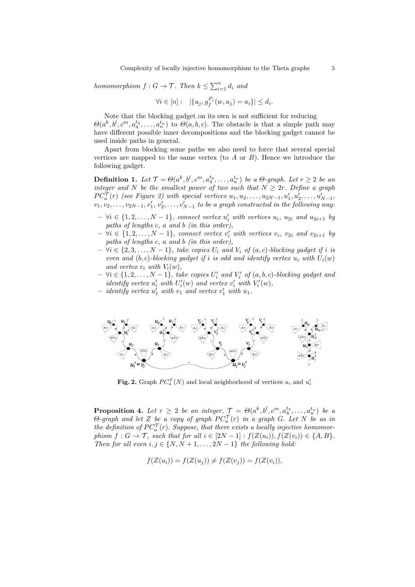homomorphism  $f: G \to \mathcal{T}$ . Then  $k \leq \sum_{i=1}^n d_i$  and

$$
\forall i \in [n]: \ \ | \{u_j, g_f^{P_j}(w, u_j) = a_i\} | \leq d_i.
$$

Note that the blocking gadget on its own is not sufficient for reducing  $\Theta(a^k, b^l, c^m, a_4^{t_4}, \ldots, a_n^{t_n})$  to  $\Theta(a, b, c)$ . The obstacle is that a simple path may have different possible inner decompositions and the blocking gadget cannot be used inside paths in general.

Apart from blocking some paths we also need to force that several special vertices are mapped to the same vertex (to  $A$  or  $B$ ). Hence we introduce the following gadget.

**Definition 1.** Let  $\mathcal{T} = \Theta(a^k, b^l, c^m, a_4^{t_4}, \ldots, a_n^{t_n})$  be a  $\Theta$ -graph. Let  $r \geq 2$  be an integer and N be the smallest power of two such that  $N \geq 2r$ . Define a graph  $PC_a^{\mathcal{T}}(r)$  (see Figure 2) with special vertices  $u_1, u_2, \ldots, u_{2N-1}, u'_1, u'_2, \ldots, u'_{N-1},$  $v_1, v_2, \ldots, v_{2N-1}, v'_1, v'_2, \ldots, v'_{N-1}$  to be a graph constructed in the following way:

- $\forall i \in \{1, 2, ..., N-1\}$ , connect vertex  $u'_i$  with vertices  $u_i$ ,  $u_{2i}$  and  $u_{2i+1}$  by paths of lengths c, a and b (in this order),
- $\forall i \in \{1, 2, ..., N 1\}$ , connect vertex  $v'_i$  with vertices  $v_i$ ,  $v_{2i}$  and  $v_{2i+1}$  by paths of lengths c, a and b (in this order),
- $\forall i \in \{2, 3, \ldots, N-1\},$  take copies  $U_i$  and  $V_i$  of  $(a, c)$ -blocking gadget if i is even and  $(b, c)$ -blocking gadget if i is odd and identify vertex  $u_i$  with  $U_i(w)$ and vertex  $v_i$  with  $V_i(w)$ ,
- $\forall i \in \{1, 2, \ldots, N-1\},$  take copies  $U'_i$  and  $V'_i$  of  $(a, b, c)$ -blocking gadget and identify vertex  $u'_i$  with  $U'_i(w)$  and vertex  $v'_i$  with  $V'_i(w)$ ,
- $-$  identify vertex  $u_1'$  with  $v_1$  and vertex  $v_1'$  with  $u_1$ .



**Fig. 2.** Graph  $PC_a^{\mathcal{T}}(N)$  and local neighborhood of vertices  $u_i$  and  $u'_i$ 

**Proposition 4.** Let  $r \geq 2$  be an integer,  $\mathcal{T} = \Theta(a^k, b^l, c^m, a_4^{t_4}, \ldots, a_n^{t_n})$  be a  $\Theta$ -graph and let Z be a copy of graph  $PC_a^{\mathcal{T}}(r)$  in a graph G. Let N be as in the definition of  $PC_a^{\mathcal{T}}(r)$ . Suppose, that there exists a locally injective homomorphism  $f: G \to \mathcal{T}$ , such that for all  $i \in [2N-1]: f(Z(u_i)), f(Z(v_i)) \in \{A, B\}.$ Then for all even  $i, j \in \{N, N+1, \ldots, 2N-1\}$  the following hold:

$$
f(Z(u_i)) = f(Z(u_j)) \neq f(Z(v_j)) = f(Z(v_i)),
$$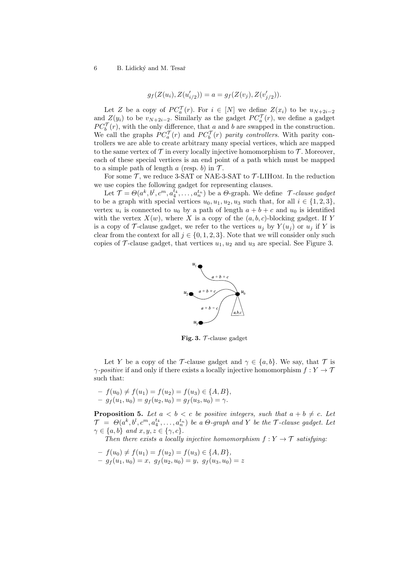$$
g_f(Z(u_i), Z(u'_{i/2})) = a = g_f(Z(v_j), Z(v'_{j/2})).
$$

Let Z be a copy of  $PC_a^{\mathcal{T}}(r)$ . For  $i \in [N]$  we define  $Z(x_i)$  to be  $u_{N+2i-2}$ and  $Z(y_i)$  to be  $v_{N+2i-2}$ . Similarly as the gadget  $PC_a^{\mathcal{T}}(r)$ , we define a gadget  $PC_b^{\mathcal{T}}(r)$ , with the only difference, that a and b are swapped in the construction. We call the graphs  $PC_a^{\mathcal{T}}(r)$  and  $PC_b^{\mathcal{T}}(r)$  parity controllers. With parity controllers we are able to create arbitrary many special vertices, which are mapped to the same vertex of  $\mathcal T$  in every locally injective homomorphism to  $\mathcal T$ . Moreover, each of these special vertices is an end point of a path which must be mapped to a simple path of length a (resp. b) in  $\mathcal{T}$ .

For some  $\mathcal T$ , we reduce 3-SAT or NAE-3-SAT to  $\mathcal T$ -LIHOM. In the reduction we use copies the following gadget for representing clauses.

Let  $\mathcal{T} = \Theta(a^k, b^l, c^m, a_4^{t_4}, \ldots, a_n^{t_n})$  be a  $\Theta$ -graph. We define  $\mathcal{T}$ -clause gadget to be a graph with special vertices  $u_0, u_1, u_2, u_3$  such that, for all  $i \in \{1, 2, 3\}$ , vertex  $u_i$  is connected to  $u_0$  by a path of length  $a + b + c$  and  $u_0$  is identified with the vertex  $X(w)$ , where X is a copy of the  $(a, b, c)$ -blocking gadget. If Y is a copy of T-clause gadget, we refer to the vertices  $u_j$  by  $Y(u_j)$  or  $u_j$  if Y is clear from the context for all  $j \in \{0, 1, 2, 3\}$ . Note that we will consider only such copies of  $\mathcal T$ -clause gadget, that vertices  $u_1, u_2$  and  $u_3$  are special. See Figure 3.



Fig. 3.  $\mathcal{T}\text{-clause gadget}$ 

Let Y be a copy of the T-clause gadget and  $\gamma \in \{a, b\}$ . We say, that T is  $\gamma$ -positive if and only if there exists a locally injective homomorphism  $f: Y \to \mathcal{T}$ such that:

$$
- f(u_0) \neq f(u_1) = f(u_2) = f(u_3) \in \{A, B\},
$$
  

$$
- g_f(u_1, u_0) = g_f(u_2, u_0) = g_f(u_3, u_0) = \gamma.
$$

**Proposition 5.** Let  $a < b < c$  be positive integers, such that  $a + b \neq c$ . Let  $\mathcal{T} \;=\; \Theta(a^k, b^l, c^m, a_4^{t_4}, \ldots, a_n^{t_n})\;$  be a  $\Theta$ -graph and Y be the  $\mathcal{T}$ -clause gadget. Let  $\gamma \in \{a, b\}$  and  $x, y, z \in \{\gamma, c\}.$ 

Then there exists a locally injective homomorphism  $f: Y \to \mathcal{T}$  satisfying:

- $-f(u_0) \neq f(u_1) = f(u_2) = f(u_3) \in \{A, B\},\$
- $-g_f(u_1, u_0) = x, g_f(u_2, u_0) = y, g_f(u_3, u_0) = z$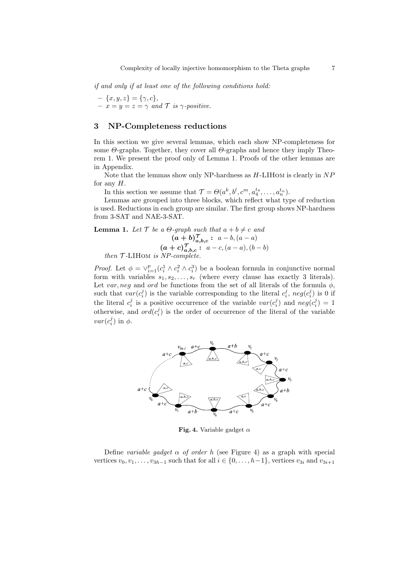if and only if at least one of the following conditions hold:

 $- \{x, y, z\} = \{\gamma, c\},\$  $- x = y = z = \gamma$  and  $\mathcal{T}$  is  $\gamma$ -positive.

# 3 NP-Completeness reductions

In this section we give several lemmas, which each show NP-completeness for some  $\Theta$ -graphs. Together, they cover all  $\Theta$ -graphs and hence they imply Theorem 1. We present the proof only of Lemma 1. Proofs of the other lemmas are in Appendix.

Note that the lemmas show only NP-hardness as  $H$ -LIHOM is clearly in  $NP$ for any  $H$ .

In this section we assume that  $\mathcal{T} = \Theta(a^k, b^l, c^m, a_4^{t_4}, \dots, a_n^{t_n}).$ 

Lemmas are grouped into three blocks, which reflect what type of reduction is used. Reductions in each group are similar. The first group shows NP-hardness from 3-SAT and NAE-3-SAT.

**Lemma 1.** Let  $\mathcal{T}$  be a  $\Theta$ -graph such that  $a + b \neq c$  and  $(a + b)_{a,b,c}^{\mathcal{T}}: a - b, (a - a)$  $(a + c)_{a,b,c}^{\mathcal{T}}: a - c, (a - a), (b - b)$ then  $T$ -LIHOM is NP-complete.

*Proof.* Let  $\phi = \vee_{i=1}^{p} (c_i^1 \wedge c_i^2 \wedge c_i^3)$  be a boolean formula in conjunctive normal form with variables  $s_1, s_2, \ldots, s_r$  (where every clause has exactly 3 literals). Let var, neg and ord be functions from the set of all literals of the formula  $\phi$ , such that  $var(c_i^j)$  is the variable corresponding to the literal  $c_i^j$ ,  $neg(c_i^j)$  is 0 if the literal  $c_i^j$  is a positive occurrence of the variable  $var(c_i^j)$  and  $neg(c_i^j) = 1$ otherwise, and  $ord(c_i^j)$  is the order of occurrence of the literal of the variable  $var(c_i^j)$  in  $\phi$ .



Fig. 4. Variable gadget  $\alpha$ 

Define variable gadget  $\alpha$  of order h (see Figure 4) as a graph with special vertices  $v_0, v_1, \ldots, v_{3h-1}$  such that for all  $i \in \{0, \ldots, h-1\}$ , vertices  $v_{3i}$  and  $v_{3i+1}$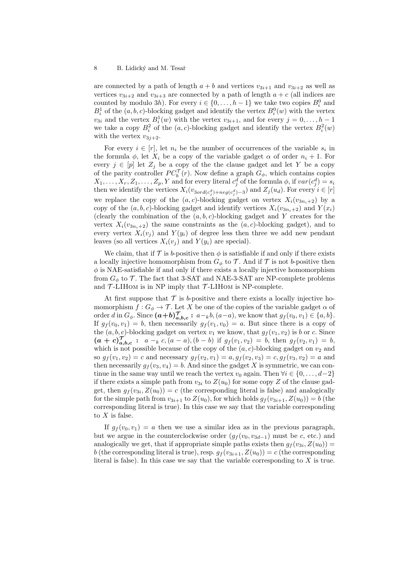are connected by a path of length  $a + b$  and vertices  $v_{3i+1}$  and  $v_{3i+2}$  as well as vertices  $v_{3i+2}$  and  $v_{3i+3}$  are connected by a path of length  $a + c$  (all indices are counted by modulo 3h). For every  $i \in \{0, \ldots, h-1\}$  we take two copies  $B_i^0$  and  $B_i^1$  of the  $(a, b, c)$ -blocking gadget and identify the vertex  $B_i^0(w)$  with the vertex  $v_{3i}$  and the vertex  $B_i^1(w)$  with the vertex  $v_{3i+1}$ , and for every  $j = 0, \ldots, h-1$ we take a copy  $B_i^2$  of the  $(a, c)$ -blocking gadget and identify the vertex  $B_i^2(w)$ with the vertex  $v_{3i+2}$ .

For every  $i \in [r]$ , let  $n_i$  be the number of occurrences of the variable  $s_i$  in the formula  $\phi$ , let  $X_i$  be a copy of the variable gadget  $\alpha$  of order  $n_i + 1$ . For every  $j \in [p]$  let  $Z_j$  be a copy of the the clause gadget and let Y be a copy of the parity controller  $PC_b^{\mathcal{T}}(r)$ . Now define a graph  $G_{\phi}$ , which contains copies  $X_1, \ldots, X_r, Z_1, \ldots, Z_p, Y$  and for every literal  $c_j^d$  of the formula  $\phi$ , if  $var(c_j^d) = s_i$ then we identify the vertices  $X_i(v_{3ord(c_j^d)+neg(c_j^d)-3})$  and  $Z_j(u_d)$ . For every  $i \in [r]$ we replace the copy of the  $(a, c)$ -blocking gadget on vertex  $X_i(v_{3n_i+2})$  by a copy of the  $(a, b, c)$ -blocking gadget and identify vertices  $X_i(v_{3n_i+2})$  and  $Y(x_i)$ (clearly the combination of the  $(a, b, c)$ -blocking gadget and Y creates for the vertex  $X_i(v_{3n_i+2})$  the same constraints as the  $(a, c)$ -blocking gadget), and to every vertex  $X_i(v_i)$  and  $Y(y_i)$  of degree less then three we add new pendant leaves (so all vertices  $X_i(v_i)$  and  $Y(y_i)$  are special).

We claim, that if  $\mathcal T$  is b-positive then  $\phi$  is satisfiable if and only if there exists a locally injective homomorphism from  $G_{\phi}$  to  $\mathcal{T}$ . And if  $\mathcal{T}$  is not b-positive then  $\phi$  is NAE-satisfiable if and only if there exists a locally injective homomorphism from  $G_{\phi}$  to  $\mathcal{T}$ . The fact that 3-SAT and NAE-3-SAT are NP-complete problems and  $\mathcal{T}\text{-LIHOM}$  is in NP imply that  $\mathcal{T}\text{-LIHOM}$  is NP-complete.

At first suppose that  $\mathcal T$  is b-positive and there exists a locally injective homomorphism  $f: G_{\phi} \to \mathcal{T}$ . Let X be one of the copies of the variable gadget  $\alpha$  of order d in  $G_{\phi}$ . Since  $(a+b)_{a,b,c}^{\mathcal{T}}: a_{k}(a-a)$ , we know that  $g_{f}(v_{0}, v_{1}) \in \{a, b\}$ . If  $g_f(v_0, v_1) = b$ , then necessarily  $g_f(v_1, v_0) = a$ . But since there is a copy of the  $(a, b, c)$ -blocking gadget on vertex  $v_1$  we know, that  $q_f(v_1, v_2)$  is b or c. Since  $(a + c)_{a,b,c}^{\mathcal{T}}: a_{k,c} \cdot (a - a), (b - b)$  if  $g_f(v_1, v_2) = b$ , then  $g_f(v_2, v_1) = b$ , which is not possible because of the copy of the  $(a, c)$ -blocking gadget on  $v_2$  and so  $g_f(v_1, v_2) = c$  and necessary  $g_f(v_2, v_1) = a, g_f(v_2, v_3) = c, g_f(v_3, v_2) = a$  and then necessarily  $g_f(v_3, v_4) = b$ . And since the gadget X is symmetric, we can continue in the same way until we reach the vertex  $v_0$  again. Then  $\forall i \in \{0, \ldots, d-2\}$ if there exists a simple path from  $v_{3i}$  to  $Z(u_0)$  for some copy Z of the clause gadget, then  $g_f(v_{3i}, Z(u_0)) = c$  (the corresponding literal is false) and analogically for the simple path from  $v_{3i+1}$  to  $Z(u_0)$ , for which holds  $g_f(v_{3i+1}, Z(u_0)) = b$  (the corresponding literal is true). In this case we say that the variable corresponding to  $X$  is false.

If  $g_f(v_0, v_1) = a$  then we use a similar idea as in the previous paragraph, but we argue in the counterclockwise order  $(g_f(v_0, v_{3d-1})$  must be c, etc.) and analogically we get, that if appropriate simple paths exists then  $g_f(v_{3i}, Z(u_0)) =$ b (the corresponding literal is true), resp.  $g_f(v_{3i+1}, Z(u_0)) = c$  (the corresponding literal is false). In this case we say that the variable corresponding to  $X$  is true.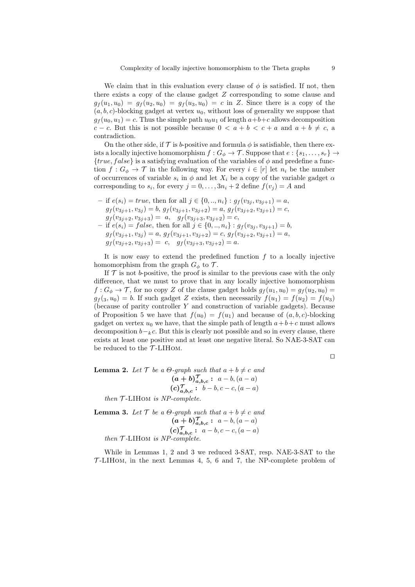We claim that in this evaluation every clause of  $\phi$  is satisfied. If not, then there exists a copy of the clause gadget Z corresponding to some clause and  $g_f(u_1, u_0) = g_f(u_2, u_0) = g_f(u_3, u_0) = c$  in Z. Since there is a copy of the  $(a, b, c)$ -blocking gadget at vertex  $u_0$ , without loss of generality we suppose that  $g_f(u_0, u_1) = c$ . Thus the simple path  $u_0u_1$  of length  $a+b+c$  allows decomposition c − c. But this is not possible because  $0 < a + b < c + a$  and  $a + b \neq c$ , a contradiction.

On the other side, if  $\mathcal T$  is b-positive and formula  $\phi$  is satisfiable, then there exists a locally injective homomorphism  $f: G_{\phi} \to \mathcal{T}$ . Suppose that  $e: \{s_1, \ldots, s_r\} \to$  ${true, false}$  is a satisfying evaluation of the variables of  $\phi$  and predefine a function  $f: G_{\phi} \to \mathcal{T}$  in the following way. For every  $i \in [r]$  let  $n_i$  be the number of occurrences of variable  $s_i$  in  $\phi$  and let  $X_i$  be a copy of the variable gadget  $\alpha$ corresponding to  $s_i$ , for every  $j = 0, \ldots, 3n_i + 2$  define  $f(v_j) = A$  and

– if  $e(s_i) = true$ , then for all  $j \in \{0, ..., n_i\} : g_f(v_{3i}, v_{3i+1}) = a$ ,  $g_f(v_{3j+1}, v_{3j}) = b, g_f(v_{3j+1}, v_{3j+2}) = a, g_f(v_{3j+2}, v_{3j+1}) = c,$  $g_f(v_{3j+2}, v_{3j+3}) = a, \quad g_f(v_{3j+3}, v_{3j+2}) = c,$ – if  $e(s_i) = false$ , then for all  $j \in \{0, ..., n_i\} : g_f(v_{3i}, v_{3i+1}) = b$ ,  $g_f(v_{3j+1}, v_{3j}) = a, g_f(v_{3j+1}, v_{3j+2}) = c, g_f(v_{3j+2}, v_{3j+1}) = a,$  $g_f(v_{3j+2}, v_{3j+3}) = c, \quad g_f(v_{3j+3}, v_{3j+2}) = a.$ 

It is now easy to extend the predefined function  $f$  to a locally injective homomorphism from the graph  $G_{\phi}$  to  $\mathcal{T}$ .

If  $\mathcal T$  is not b-positive, the proof is similar to the previous case with the only difference, that we must to prove that in any locally injective homomorphism  $f: G_{\phi} \to \mathcal{T}$ , for no copy Z of the clause gadget holds  $g_f(u_1, u_0) = g_f(u_2, u_0)$  $g_f(s, u_0) = b$ . If such gadget Z exists, then necessarily  $f(u_1) = f(u_2) = f(u_3)$ (because of parity controller Y and construction of variable gadgets). Because of Proposition 5 we have that  $f(u_0) = f(u_1)$  and because of  $(a, b, c)$ -blocking gadget on vertex  $u_0$  we have, that the simple path of length  $a+b+c$  must allows decomposition  $b-<sub>k</sub>c$ . But this is clearly not possible and so in every clause, there exists at least one positive and at least one negative literal. So NAE-3-SAT can be reduced to the  $T$ -LIHOM.

 $\Box$ 

**Lemma 2.** Let  $\mathcal{T}$  be a  $\Theta$ -graph such that  $a + b \neq c$  and  $(a + b)_{a,b,c}^{\mathcal{T}}: a - b, (a - a)$  $(c)_{a,b,c}^{\mathcal{T}}: b-b, c-c, (a-a)$ then  $T$ -LIHOM is NP-complete.

**Lemma 3.** Let  $\mathcal{T}$  be a  $\Theta$ -graph such that  $a + b \neq c$  and  $(a + b)_{a,b,c}^{\mathcal{T}}: a - b, (a - a)$  $(c)_{a,b,c}^{\mathcal{T}}: a-b, c-c, (a-a)$ then  $T$ -LIHOM is NP-complete.

While in Lemmas 1, 2 and 3 we reduced 3-SAT, resp. NAE-3-SAT to the  $\mathcal{T}\text{-LIHOM}$ , in the next Lemmas 4, 5, 6 and 7, the NP-complete problem of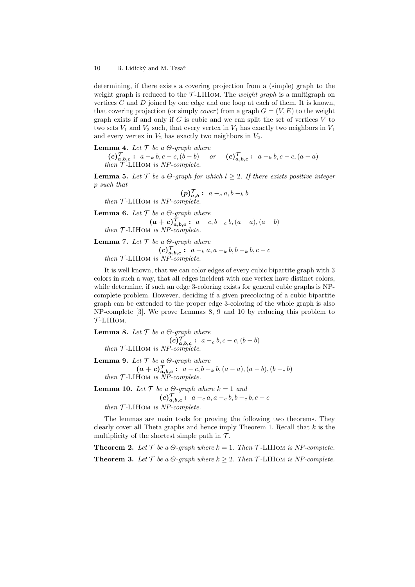determining, if there exists a covering projection from a (simple) graph to the weight graph is reduced to the  $\mathcal{T}\text{-LIHOM}$ . The *weight graph* is a multigraph on vertices  $C$  and  $D$  joined by one edge and one loop at each of them. It is known, that covering projection (or simply *cover*) from a graph  $G = (V, E)$  to the weight graph exists if and only if  $G$  is cubic and we can split the set of vertices  $V$  to two sets  $V_1$  and  $V_2$  such, that every vertex in  $V_1$  has exactly two neighbors in  $V_1$ and every vertex in  $V_2$  has exactly two neighbors in  $V_2$ .

# **Lemma 4.** Let  $\mathcal{T}$  be a  $\Theta$ -graph where

 $(c)_{a,b,c}^{\mathcal{T}}: a_{k} b, c-c, (b-b)$  or  $(c)_{a,b,c}^{\mathcal{T}}: a_{k} b, c-c, (a-a)$  $then$   $T$ -LIHOM is NP-complete.

**Lemma 5.** Let  $\mathcal{T}$  be a  $\Theta$ -graph for which  $l \geq 2$ . If there exists positive integer p such that

$$
(p)_{a,b}^{\mathcal{T}}: a -_c a, b -_k b
$$

then  $T$ -LIHOM is NP-complete.

**Lemma 6.** Let  $\mathcal{T}$  be a  $\Theta$ -graph where  $(a + c)_{a,b,c}^{\mathcal{T}}: a - c, b - c, b, (a - a), (a - b)$ then  $T$ -LIHOM is NP-complete.

# **Lemma 7.** Let  $\mathcal{T}$  be a  $\Theta$ -graph where

 $(c)_{a,b,c}^{\mathcal{T}}: a_{k}a_{k}a_{k}b_{k}b_{k}b_{k}c_{k}c_{k}c_{k}$ then  $T$ -LIHOM is  $NP-complete$ .

It is well known, that we can color edges of every cubic bipartite graph with 3 colors in such a way, that all edges incident with one vertex have distinct colors, while determine, if such an edge 3-coloring exists for general cubic graphs is NPcomplete problem. However, deciding if a given precoloring of a cubic bipartite graph can be extended to the proper edge 3-coloring of the whole graph is also NP-complete [3]. We prove Lemmas 8, 9 and 10 by reducing this problem to  $T$ -LIHOM.

**Lemma 8.** Let T be a 
$$
\Theta
$$
-graph where  
\n(c) $\overline{J}_{a,b,c}$ :  $a-c, b, c-c, (b-b)$   
\nthen T-LIHOM is NP-complete.

**Lemma 9.** Let  $\mathcal T$  be a  $\Theta$ -graph where

$$
(a + c)_{a,b,c}^{\mathcal{T}} : a - c, b - k, (a - a), (a - b), (b - c, b)
$$
  
then  $\mathcal{T}$ -LIHOM is NP-complete.

**Lemma 10.** Let  $\mathcal T$  be a  $\Theta$ -graph where  $k = 1$  and  $(c)_{a,b,c}^{\mathcal{T}}: a_{-c} a, a_{-c} b, b_{-c} b, c - c$ then  $T$ -LIHOM is NP-complete.

The lemmas are main tools for proving the following two theorems. They clearly cover all Theta graphs and hence imply Theorem 1. Recall that  $k$  is the multiplicity of the shortest simple path in  $\mathcal{T}$ .

**Theorem 2.** Let  $\mathcal{T}$  be a  $\Theta$ -graph where  $k = 1$ . Then  $\mathcal{T}$ -LIHOM is NP-complete. **Theorem 3.** Let  $\mathcal T$  be a  $\Theta$ -graph where  $k \geq 2$ . Then  $\mathcal T$ -LIHOM is NP-complete.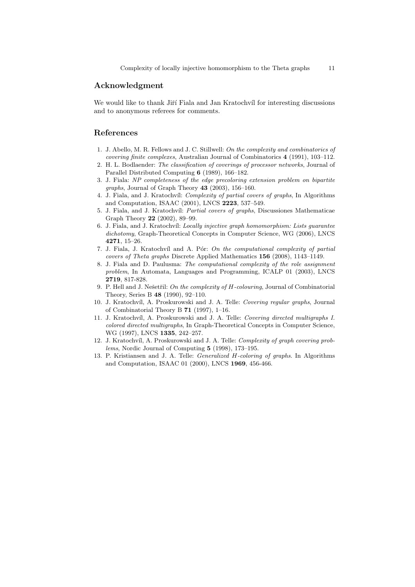# Acknowledgment

We would like to thank Jiří Fiala and Jan Kratochvíl for interesting discussions and to anonymous referees for comments.

# References

- 1. J. Abello, M. R. Fellows and J. C. Stillwell: On the complexity and combinatorics of covering finite complexes, Australian Journal of Combinatorics 4 (1991), 103–112.
- 2. H. L. Bodlaender: The classification of coverings of processor networks, Journal of Parallel Distributed Computing 6 (1989), 166–182.
- 3. J. Fiala: NP completeness of the edge precoloring extension problem on bipartite graphs, Journal of Graph Theory 43 (2003), 156–160.
- 4. J. Fiala, and J. Kratochvíl: Complexity of partial covers of graphs, In Algorithms and Computation, ISAAC (2001), LNCS 2223, 537–549.
- 5. J. Fiala, and J. Kratochvíl: *Partial covers of graphs*, Discussiones Mathematicae Graph Theory 22 (2002), 89–99.
- 6. J. Fiala, and J. Kratochv´ıl: Locally injective graph homomorphism: Lists guarantee dichotomy, Graph-Theoretical Concepts in Computer Science, WG (2006), LNCS 4271, 15–26.
- 7. J. Fiala, J. Kratochvíl and A. Pór: On the computational complexity of partial covers of Theta graphs Discrete Applied Mathematics 156 (2008), 1143–1149.
- 8. J. Fiala and D. Paulusma: The computational complexity of the role assignment problem, In Automata, Languages and Programming, ICALP 01 (2003), LNCS 2719, 817-828.
- 9. P. Hell and J. Nešetřil: On the complexity of  $H$ -colouring, Journal of Combinatorial Theory, Series B 48 (1990), 92–110.
- 10. J. Kratochvíl, A. Proskurowski and J. A. Telle: Covering regular graphs, Journal of Combinatorial Theory B 71 (1997), 1–16.
- 11. J. Kratochvíl, A. Proskurowski and J. A. Telle: Covering directed multigraphs I. colored directed multigraphs, In Graph-Theoretical Concepts in Computer Science, WG (1997), LNCS 1335, 242–257.
- 12. J. Kratochvíl, A. Proskurowski and J. A. Telle: Complexity of graph covering problems, Nordic Journal of Computing 5 (1998), 173–195.
- 13. P. Kristiansen and J. A. Telle: Generalized H-coloring of graphs. In Algorithms and Computation, ISAAC 01 (2000), LNCS 1969, 456-466.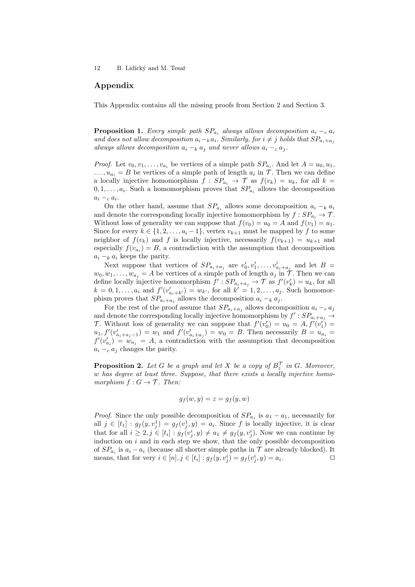# Appendix

This Appendix contains all the missing proofs from Section 2 and Section 3.

**Proposition 1.** Every simple path  $SP_{a_i}$  always allows decomposition  $a_i - c_i$ and does not allow decomposition  $a_i-\mathrm{k} a_i$ . Similarly, for  $i \neq j$  holds that  $SP_{a_i+a_j}$ always allows decomposition  $a_i -_k a_j$  and never allows  $a_i -_c a_j$ .

*Proof.* Let  $v_0, v_1, \ldots, v_{a_i}$  be vertices of a simple path  $SP_{a_i}$ . And let  $A = u_0, u_1$ ,  $\dots, u_{a_i} = B$  be vertices of a simple path of length  $a_i$  in  $\mathcal T$ . Then we can define a locally injective homomorphism  $f : SP_{a_i} \to T$  as  $f(v_k) = u_k$ , for all  $k =$  $0, 1, \ldots, a_i$ . Such a homomorphism proves that  $SP_{a_i}$  allows the decomposition  $a_i -_c a_i$ .

On the other hand, assume that  $SP_{a_i}$  allows some decomposition  $a_i -_k a_i$ and denote the corresponding locally injective homomorphism by  $f : SP_{a_i} \to T$ . Without loss of generality we can suppose that  $f(v_0) = u_0 = A$  and  $f(v_1) = u_1$ . Since for every  $k \in \{1, 2, ..., a_i - 1\}$ , vertex  $v_{k+1}$  must be mapped by f to some neighbor of  $f(v_k)$  and f is locally injective, necessarily  $f(v_{k+1}) = u_{k+1}$  and especially  $f(v_{a_i}) = B$ , a contradiction with the assumption that decomposition  $a_i -_k a_i$  keeps the parity.

Next suppose that vertices of  $SP_{a_i+a_j}$  are  $v'_0, v'_1, \ldots, v'_{a_i+a_j}$  and let  $B =$  $w_0, w_1, \ldots, w_{a_j} = A$  be vertices of a simple path of length  $a_j$  in  $\mathcal{T}$ . Then we can define locally injective homomorphism  $f': SP_{a_i + a_j} \to T$  as  $f'(v'_k) = u_k$ , for all  $k = 0, 1, ..., a_i$  and  $f'(v'_{a_i+k'}) = w_{k'}$ , for all  $k' = 1, 2, ..., a_j$ . Such homomorphism proves that  $SP_{a_i+a_j}$  allows the decomposition  $a_i -_k a_j$ .

For the rest of the proof assume that  $SP_{a_i+a_j}$  allows decomposition  $a_i - c_i$ and denote the corresponding locally injective homomorphism by  $f': SP_{a_i+a_j} \to$ T. Without loss of generality we can suppose that  $f'(v'_0) = u_0 = A, f'(v'_1) =$  $u_1, f'(v'_{a_i+a_j-1}) = w_1$  and  $f'(v'_{a_i+a_j}) = w_0 = B$ . Then necessarily  $B = u_{a_i} =$  $f'(v'_{a_i}) = w_{a_j} = A$ , a contradiction with the assumption that decomposition  $a_i -_c a_j$  changes the parity.

**Proposition 2.** Let G be a graph and let X be a copy of  $B_z^{\mathcal{T}}$  in G. Moreover, w has degree at least three. Suppose, that there exists a locally injective homomorphism  $f: G \to \mathcal{T}$ . Then:

$$
g_f(w, y) = z = g_f(y, w)
$$

*Proof.* Since the only possible decomposition of  $SP_{a_1}$  is  $a_1 - a_1$ , necessarily for all  $j \in [t_1] : g_f(y, v_j^1) = g_f(v_j^1, y) = a_i$ . Since f is locally injective, it is clear that for all  $i \geq 2, j \in [t_i] : g_f(v_j^i, y) \neq a_1 \neq g_f(y, v_j^i)$ . Now we can continue by induction on  $i$  and in each step we show, that the only possible decomposition of  $SP_{a_i}$  is  $a_i - a_i$  (because all shorter simple paths in  $\mathcal T$  are already blocked). It means, that for very  $i \in [n], j \in [t_i] : g_f(y, v_j^i) = g_f(v_j^i, y) = a_i$ . The contract of  $\Box$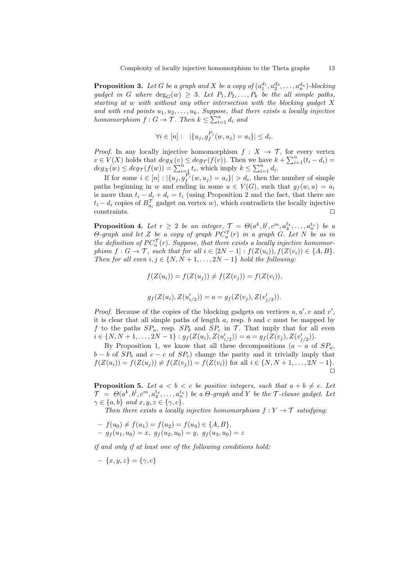**Proposition 3.** Let G be a graph and X be a copy of  $(a_1^{d_1}, a_2^{d_2}, \ldots, a_n^{d_n})$ -blocking gadget in G where  $\deg_G(w) \geq 3$ . Let  $P_1, P_2, \ldots, P_k$  be the all simple paths, starting at w with without any other intersection with the blocking gadget X and with end points  $u_1, u_2, \ldots, u_k$ . Suppose, that there exists a locally injective homomorphism  $f: G \to \mathcal{T}$ . Then  $k \leq \sum_{i=1}^{n} d_i$  and

$$
\forall i \in [n]: \ \ |\{u_j, g_f^{P_j}(w, u_j) = a_i\}| \leq d_i.
$$

*Proof.* In any locally injective homomorphism  $f : X \to \mathcal{T}$ , for every vertex  $v \in V(X)$  holds that  $deg_X(v) \leq deg_{\mathcal{T}}(f(v))$ . Then we have  $k + \sum_{i=1}^n (t_i - d_i) =$  $deg_X(w) \leq deg_{\mathcal{T}}(f(w)) = \sum_{i=1}^n t_i$ , which imply  $k \leq \sum_{i=1}^n d_i$ .

If for some  $i \in [n] : |\{u_j, g_f^{P_j}(w, u_j) = a_i\}| > d_i$ , then the number of simple paths beginning in w and ending in some  $u \in V(G)$ , such that  $g_f(w, u) = a_i$ is more than  $t_i - d_i + d_i = t_i$  (using Proposition 2 and the fact, that there are  $t_i - d_i$  copies of  $B_{a_i}^{\mathcal{T}}$  gadget on vertex w), which contradicts the locally injective  $\Box$ constraints.  $\Box$ 

**Proposition 4.** Let  $r \geq 2$  be an integer,  $\mathcal{T} = \Theta(a^k, b^l, c^m, a_4^{t_4}, \ldots, a_n^{t_n})$  be a  $\Theta$ -graph and let Z be a copy of graph  $PC_a^{\mathcal{T}}(r)$  in a graph G. Let N be as in the definition of  $PC_a^{\mathcal{T}}(r)$ . Suppose, that there exists a locally injective homomorphism  $f: G \to \mathcal{T}$ , such that for all  $i \in [2N-1]: f(Z(u_i)), f(Z(v_i)) \in \{A, B\}.$ Then for all even  $i, j \in \{N, N+1, \ldots, 2N-1\}$  hold the following:

$$
f(Z(u_i)) = f(Z(u_j)) \neq f(Z(v_j)) = f(Z(v_i)),
$$

$$
g_f(Z(u_i), Z(u'_{i/2})) = a = g_f(Z(v_j), Z(v'_{j/2})).
$$

*Proof.* Because of the copies of the blocking gadgets on vertices  $u, u', v$  and  $v'$ , it is clear that all simple paths of length  $a$ , resp.  $b$  and  $c$  must be mapped by f to the paths  $SP_a$ , resp.  $SP_b$  and  $SP_c$  in  $\mathcal{T}$ . That imply that for all even  $i \in \{N, N+1, \ldots, 2N-1\} : g_f(Z(u_i), Z(u'_{i/2})) = a = g_f(Z(v_j), Z(v'_{j/2})).$ 

By Proposition 1, we know that all these decompositions  $(a - a)$  of  $SP_a$ ,  $b - b$  of  $SP<sub>b</sub>$  and  $c - c$  of  $SP<sub>c</sub>$ ) change the parity and it trivially imply that  $f(Z(u_i)) = f(Z(u_j)) \neq f(Z(v_j)) = f(Z(v_i))$  for all  $i \in \{N, N+1, \ldots, 2N-1\}.$  $\Box$ 

**Proposition 5.** Let  $a < b < c$  be positive integers, such that  $a + b \neq c$ . Let  $\mathcal{T} \;=\; \Theta(a^k, b^l, c^m, a_4^{t_4}, \ldots, a_n^{t_n}) \; \textit{be a $\Theta$-graph and $Y$ \; \textit{be the $\mathcal{T}$-clause gadget. Let}$  $\gamma \in \{a, b\}$  and  $x, y, z \in \{\gamma, c\}.$ 

Then there exists a locally injective homomorphism  $f: Y \to \mathcal{T}$  satisfying:

 $-f(u_0) \neq f(u_1) = f(u_2) = f(u_3) \in \{A, B\},\$  $-g_f(u_1, u_0) = x, g_f(u_2, u_0) = y, g_f(u_3, u_0) = z$ 

if and only if at least one of the following conditions hold:

 $- \{x, y, z\} = \{\gamma, c\}$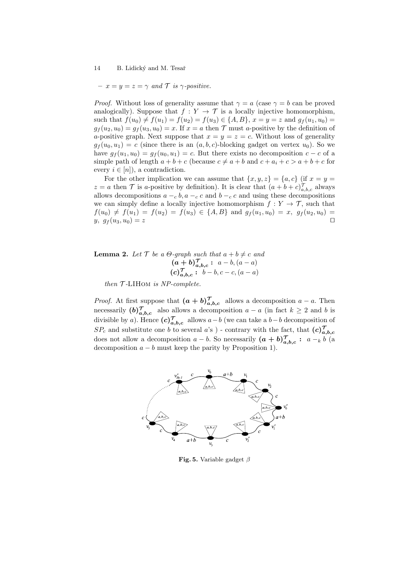$- x = y = z = \gamma$  and T is  $\gamma$ -positive.

*Proof.* Without loss of generality assume that  $\gamma = a$  (case  $\gamma = b$  can be proved analogically). Suppose that  $f: Y \to T$  is a locally injective homomorphism, such that  $f(u_0) \neq f(u_1) = f(u_2) = f(u_3) \in \{A, B\}, x = y = z$  and  $g_f(u_1, u_0) =$  $q_f(u_2, u_0) = q_f(u_3, u_0) = x$ . If  $x = a$  then  $\mathcal T$  must a-positive by the definition of a-positive graph. Next suppose that  $x = y = z = c$ . Without loss of generality  $q_f(u_0, u_1) = c$  (since there is an  $(a, b, c)$ -blocking gadget on vertex  $u_0$ ). So we have  $g_f(u_1, u_0) = g_f(u_0, u_1) = c$ . But there exists no decomposition  $c - c$  of a simple path of length  $a + b + c$  (because  $c \neq a + b$  and  $c + a_i + c > a + b + c$  for every  $i \in [n]$ , a contradiction.

For the other implication we can assume that  $\{x, y, z\} = \{a, c\}$  (if  $x = y =$  $z = a$  then T is a-positive by definition). It is clear that  $(a + b + c)_{a,b,c}^{\mathcal{T}}$  always allows decompositions  $a - c b$ ,  $a - c c$  and  $b - c c$  and using these decompositions we can simply define a locally injective homomorphism  $f: Y \to \mathcal{T}$ , such that  $f(u_0) \neq f(u_1) = f(u_2) = f(u_3) \in \{A, B\}$  and  $g_f(u_1, u_0) = x$ ,  $g_f(u_2, u_0) =$  $y, g_f(u_3, u_0) = z$ 

**Lemma 2.** Let  $\mathcal{T}$  be a  $\Theta$ -graph such that  $a + b \neq c$  and  $(a + b)_{a,b,c}^{\mathcal{T}}: a-b, (a-a)$  $(c)_{a,b,c}^{\mathcal{T}}: b-b, c-c, (a-a)$ 

then  $T$ -LIHOM is NP-complete.

*Proof.* At first suppose that  $(a + b)_{a,b,c}^{\mathcal{T}}$  allows a decomposition  $a - a$ . Then necessarily  $(b)_{a,b,c}^{\mathcal{T}}$  also allows a decomposition  $a - a$  (in fact  $k \geq 2$  and b is divisible by a). Hence  $(c)_{a,b,c}^{\mathcal{T}}$  allows  $a-b$  (we can take a  $b-b$  decomposition of  $SP_c$  and substitute one b to several a's) - contrary with the fact, that  $(c)_{a,b,c}^{\mathcal{T}}$ does not allow a decomposition  $a - b$ . So necessarily  $(a + b)_{a,b,c}^{\mathcal{T}}: a - b$  (a decomposition  $a - b$  must keep the parity by Proposition 1).



Fig. 5. Variable gadget  $\beta$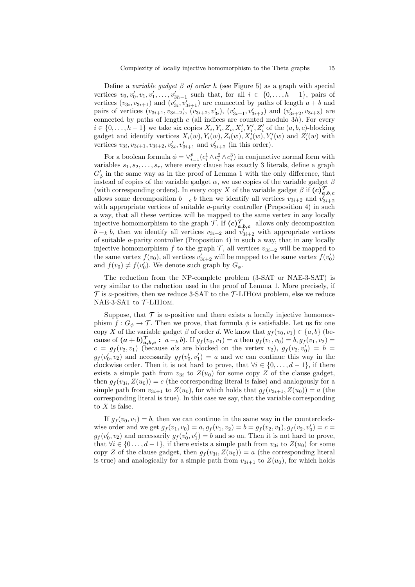Define a variable gadget  $\beta$  of order h (see Figure 5) as a graph with special vertices  $v_0, v'_0, v_1, v'_1, \ldots, v'_{3h-1}$  such that, for all  $i \in \{0, \ldots, h-1\}$ , pairs of vertices  $(v_{3i}, v_{3i+1})$  and  $(v'_{3i}, v'_{3i+1})$  are connected by paths of length  $a + b$  and pairs of vertices  $(v_{3i+1}, v_{3i+2})$ ,  $(v_{3i+2}, v'_{3i})$ ,  $(v'_{3i+1}, v'_{3i+2})$  and  $(v'_{3i+2}, v_{3i+3})$  are connected by paths of length  $c$  (all indices are counted modulo 3h). For every  $i \in \{0, \ldots, h-1\}$  we take six copies  $X_i, Y_i, Z_i, X'_i, Y'_i, Z'_i$  of the  $(a, b, c)$ -blocking gadget and identify vertices  $X_i(w), Y_i(w), Z_i(w), X'_i(w), Y'_i(w)$  and  $Z'_i(w)$  with vertices  $v_{3i}, v_{3i+1}, v_{3i+2}, v'_{3i}, v'_{3i+1}$  and  $v'_{3i+2}$  (in this order).

For a boolean formula  $\phi = \vee_{i=1}^p (c_i^1 \wedge c_i^2 \wedge c_i^3)$  in conjunctive normal form with variables  $s_1, s_2, \ldots, s_r$ , where every clause has exactly 3 literals, define a graph  $G'_{\phi}$  in the same way as in the proof of Lemma 1 with the only difference, that instead of copies of the variable gadget  $\alpha$ , we use copies of the variable gadget  $\beta$ (with corresponding orders). In every copy X of the variable gadget  $\beta$  if  $(c)_{a,b,c}^{\mathcal{T}}$ allows some decomposition  $b - c$  b then we identify all vertices  $v_{3i+2}$  and  $v_{3i+2}^{j'_{3i+2}}$ with appropriate vertices of suitable  $a$ -parity controller (Proposition 4) in such a way, that all these vertices will be mapped to the same vertex in any locally injective homomorphism to the graph  $\mathcal{T}$ . If  $(c)_{a,b,c}^{\mathcal{T}}$  allows only decomposition  $b - k$ , then we identify all vertices  $v_{3i+2}$  and  $v'_{3i+2}$  with appropriate vertices of suitable a-parity controller (Proposition 4) in such a way, that in any locally injective homomorphism f to the graph  $\mathcal{T}$ , all vertices  $v_{3i+2}$  will be mapped to the same vertex  $f(v_0)$ , all vertices  $v'_{3i+2}$  will be mapped to the same vertex  $f(v'_0)$ and  $f(v_0) \neq f(v'_0)$ . We denote such graph by  $G_{\phi}$ .

The reduction from the NP-complete problem (3-SAT or NAE-3-SAT) is very similar to the reduction used in the proof of Lemma 1. More precisely, if  $\mathcal T$  is a-positive, then we reduce 3-SAT to the  $\mathcal T$ -LIHOM problem, else we reduce NAE-3-SAT to  $\mathcal{T}\text{-LIHOM}.$ 

Suppose, that  $\mathcal T$  is a-positive and there exists a locally injective homomorphism  $f: G_{\phi} \to \mathcal{T}$ . Then we prove, that formula  $\phi$  is satisfiable. Let us fix one copy X of the variable gadget  $\beta$  of order d. We know that  $g_f(v_0, v_1) \in \{a, b\}$  (because of  $(a + b)_{a,b,c}^{\mathcal{T}}: a_{k}$  is  $a_{k}$  is  $g_{f}(v_{0}, v_{1}) = a$  then  $g_{f}(v_{1}, v_{0}) = b, g_{f}(v_{1}, v_{2}) = b$  $c = g_f(v_2, v_1)$  (because a's are blocked on the vertex  $v_2$ ),  $g_f(v_2, v'_0) = b =$  $g_f(v'_0, v_2)$  and necessarily  $g_f(v'_0, v'_1) = a$  and we can continue this way in the clockwise order. Then it is not hard to prove, that  $\forall i \in \{0, \ldots, d-1\}$ , if there exists a simple path from  $v_{3i}$  to  $Z(u_0)$  for some copy Z of the clause gadget, then  $g_f(v_{3i}, Z(u_0)) = c$  (the corresponding literal is false) and analogously for a simple path from  $v_{3i+1}$  to  $Z(u_0)$ , for which holds that  $g_f(v_{3i+1}, Z(u_0)) = a$  (the corresponding literal is true). In this case we say, that the variable corresponding to  $X$  is false.

If  $g_f(v_0, v_1) = b$ , then we can continue in the same way in the counterclockwise order and we get  $g_f(v_1, v_0) = a, g_f(v_1, v_2) = b = g_f(v_2, v_1), g_f(v_2, v'_0) = c =$  $g_f(v'_0, v_2)$  and necessarily  $g_f(v'_0, v'_1) = b$  and so on. Then it is not hard to prove, that  $\forall i \in \{0 \ldots, d-1\}$ , if there exists a simple path from  $v_{3i}$  to  $Z(u_0)$  for some copy Z of the clause gadget, then  $g_f(v_{3i}, Z(u_0)) = a$  (the corresponding literal is true) and analogically for a simple path from  $v_{3i+1}$  to  $Z(u_0)$ , for which holds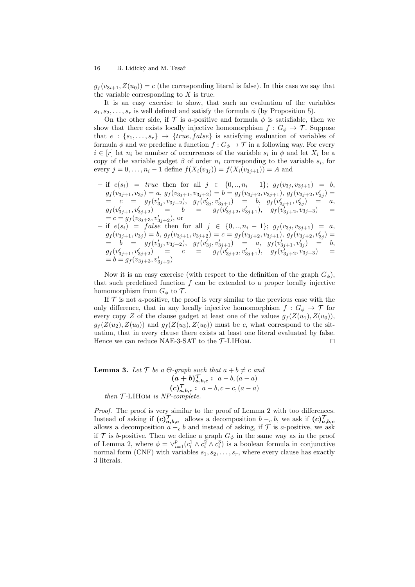$g_f(v_{3i+1}, Z(u_0)) = c$  (the corresponding literal is false). In this case we say that the variable corresponding to  $X$  is true.

It is an easy exercise to show, that such an evaluation of the variables  $s_1, s_2, \ldots, s_r$  is well defined and satisfy the formula  $\phi$  (by Proposition 5).

On the other side, if  $\mathcal T$  is a-positive and formula  $\phi$  is satisfiable, then we show that there exists locally injective homomorphism  $f: G_{\phi} \to \mathcal{T}$ . Suppose that  $e: \{s_1, \ldots, s_r\} \rightarrow \{true, false\}$  is satisfying evaluation of variables of formula  $\phi$  and we predefine a function  $f: G_{\phi} \to \mathcal{T}$  in a following way. For every  $i \in [r]$  let  $n_i$  be number of occurrences of the variable  $s_i$  in  $\phi$  and let  $X_i$  be a copy of the variable gadget  $\beta$  of order  $n_i$  corresponding to the variable  $s_i$ , for every  $j = 0, ..., n_i - 1$  define  $f(X_i(v_{3j})) = f(X_i(v_{3j+1})) = A$  and

- if  $e(s_i)$  = true then for all j ∈ {0, .., n<sub>i</sub> 1};  $g_f(v_{3j}, v_{3j+1}) = b$ ,  $g_f(v_{3j+1}, v_{3j}) = a, g_f(v_{3j+1}, v_{3j+2}) = b = g_f(v_{3j+2}, v_{3j+1}), g_f(v_{3j+2}, v'_{3j}) =$  $c = g_f(v'_{3j}, v_{3j+2}), g_f(v'_{3j}, v'_{3j+1}) = b, g_f(v'_{3j+1}, v'_{3j}) = a,$  $g_f(v'_{3j+1}, v'_{3j+2})$  = b =  $g_f(v'_{3j+2}, v'_{3j+1}), g_f(v'_{3j+2}, v'_{3j+3})$  =  $= c = g_f(v_{3j+3}, v'_{3j+2}),$  or
- $-$  if  $e(s_i) = false$  then for all  $j \in \{0, ..., n_i 1\}$ ;  $g_f(v_{3j}, v_{3j+1}) = a$ ,  $g_f(v_{3j+1}, v_{3j}) = b, g_f(v_{3j+1}, v_{3j+2}) = c = g_f(v_{3j+2}, v_{3j+1}), g_f(v_{3j+2}, v'_{3j}) =$  $= b = g_f(v'_{3j}, v_{3j+2}), g_f(v'_{3j}, v'_{3j+1}) = a, g_f(v'_{3j+1}, v'_{3j}) = b,$  $g_f(v'_{3j+1}, v'_{3j+2})$  = c =  $g_f(v'_{3j+2}, v'_{3j+1}), g_f(v'_{3j+2}, v'_{3j+3})$  =  $= b = g_f(v_{3j+3}, v'_{3j+2})$

Now it is an easy exercise (with respect to the definition of the graph  $G_{\phi}$ ), that such predefined function  $f$  can be extended to a proper locally injective homomorphism from  $G_{\phi}$  to  $\mathcal{T}$ .

If  $\mathcal T$  is not a-positive, the proof is very similar to the previous case with the only difference, that in any locally injective homomorphism  $f: G_{\phi} \to \mathcal{T}$  for every copy Z of the clause gadget at least one of the values  $g_f(Z(u_1), Z(u_0)),$  $g_f(Z(u_2), Z(u_0))$  and  $g_f(Z(u_3), Z(u_0))$  must be c, what correspond to the situation, that in every clause there exists at least one literal evaluated by false. Hence we can reduce NAE-3-SAT to the  $\mathcal{T}\text{-LIHOM.}$ 

**Lemma 3.** Let  $\mathcal{T}$  be a  $\Theta$ -graph such that  $a + b \neq c$  and  $(a + b)_{a,b,c}^{\mathcal{T}}: a - b, (a - a)$  $(c)_{a,b,c}^{\mathcal{T}}: a-b, c-c, (a-a)$ then  $T$ -LIHOM is NP-complete.

Proof. The proof is very similar to the proof of Lemma 2 with too differences. Instead of asking if  $(c)_{a,b,c}^{\mathcal{J}}$  allows a decomposition  $b - c$ , we ask if  $(c)_{a,b,c}^{\mathcal{J}}$ allows a decomposition  $a - c b$  and instead of asking, if  $\mathcal T$  is a-positive, we ask if T is b-positive. Then we define a graph  $G_{\phi}$  in the same way as in the proof of Lemma 2, where  $\phi = \vee_{i=1}^p (c_i^1 \wedge c_i^2 \wedge c_i^3)$  is a boolean formula in conjunctive normal form (CNF) with variables  $s_1, s_2, \ldots, s_r$ , where every clause has exactly 3 literals.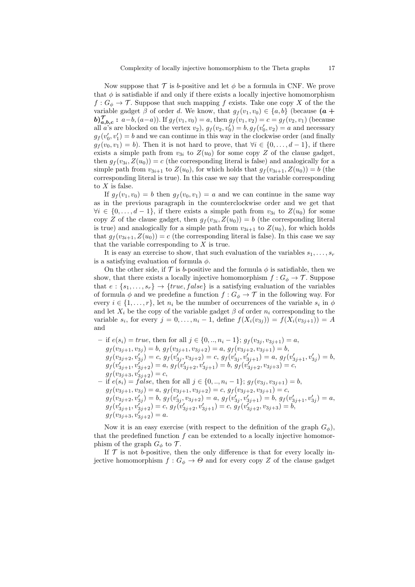Now suppose that  $\mathcal T$  is b-positive and let  $\phi$  be a formula in CNF. We prove that  $\phi$  is satisfiable if and only if there exists a locally injective homomorphism  $f: G_{\phi} \to \mathcal{T}$ . Suppose that such mapping f exists. Take one copy X of the the variable gadget  $\beta$  of order d. We know, that  $g_f(v_1, v_0) \in \{a, b\}$  (because  $(a +$  $\mathbf{b}$ ) $\mathcal{T}_{a,b,c}$ :  $a-b$ ,  $(a-a)$ ). If  $g_f(v_1, v_0) = a$ , then  $g_f(v_1, v_2) = c = g_f(v_2, v_1)$  (because all a's are blocked on the vertex  $v_2$ ,  $g_f(v_2, v'_0) = b$ ,  $g_f(v'_0, v_2) = a$  and necessary  $g_f(v'_0, v'_1) = b$  and we can continue in this way in the clockwise order (and finally  $g_f(v_0, v_1) = b$ ). Then it is not hard to prove, that  $\forall i \in \{0, ..., d-1\}$ , if there exists a simple path from  $v_{3i}$  to  $Z(u_0)$  for some copy Z of the clause gadget, then  $g_f(v_{3i}, Z(u_0)) = c$  (the corresponding literal is false) and analogically for a simple path from  $v_{3i+1}$  to  $Z(u_0)$ , for which holds that  $g_f(v_{3i+1}, Z(u_0)) = b$  (the corresponding literal is true). In this case we say that the variable corresponding to  $X$  is false.

If  $g_f(v_1, v_0) = b$  then  $g_f(v_0, v_1) = a$  and we can continue in the same way as in the previous paragraph in the counterclockwise order and we get that  $\forall i \in \{0, \ldots, d-1\}$ , if there exists a simple path from  $v_{3i}$  to  $Z(u_0)$  for some copy Z of the clause gadget, then  $g_f(v_{3i}, Z(u_0)) = b$  (the corresponding literal is true) and analogically for a simple path from  $v_{3i+1}$  to  $Z(u_0)$ , for which holds that  $g_f(v_{3i+1}, Z(u_0)) = c$  (the corresponding literal is false). In this case we say that the variable corresponding to  $X$  is true.

It is easy an exercise to show, that such evaluation of the variables  $s_1, \ldots, s_r$ is a satisfying evaluation of formula  $\phi$ .

On the other side, if  $\mathcal T$  is b-positive and the formula  $\phi$  is satisfiable, then we show, that there exists a locally injective homomorphism  $f: G_{\phi} \to \mathcal{T}$ . Suppose that  $e: \{s_1, \ldots, s_r\} \rightarrow \{true, false\}$  is a satisfying evaluation of the variables of formula  $\phi$  and we predefine a function  $f: G_{\phi} \to \mathcal{T}$  in the following way. For every  $i \in \{1, \ldots, r\}$ , let  $n_i$  be the number of occurrences of the variable  $s_i$  in  $\phi$ and let  $X_i$  be the copy of the variable gadget  $\beta$  of order  $n_i$  corresponding to the variable  $s_i$ , for every  $j = 0, ..., n_i - 1$ , define  $f(X_i(v_{3j})) = f(X_i(v_{3j+1})) = A$ and

- if 
$$
e(s_i) = true
$$
, then for all  $j \in \{0, ..., n_i - 1\}$ ;  $g_f(v_{3j}, v_{3j+1}) = a$ ,  
\n $g_f(v_{3j+1}, v_{3j}) = b$ ,  $g_f(v_{3j+1}, v_{3j+2}) = a$ ,  $g_f(v_{3j+2}, v_{3j+1}) = b$ ,  
\n $g_f(v_{3j+2}, v'_{3j}) = c$ ,  $g_f(v'_{3j}, v_{3j+2}) = c$ ,  $g_f(v'_{3j}, v'_{3j+1}) = a$ ,  $g_f(v'_{3j+1}, v'_{3j}) = b$ ,  
\n $g_f(v'_{3j+1}, v'_{3j+2}) = a$ ,  $g_f(v'_{3j+2}, v'_{3j+1}) = b$ ,  $g_f(v'_{3j+2}, v_{3j+3}) = c$ ,  
\n $g_f(v_{3j+3}, v'_{3j+2}) = c$ ,  
\n- if  $e(s_i) = false$ , then for all  $j \in \{0, ..., n_i - 1\}$ ;  $g_f(v_{3j}, v_{3j+1}) = b$ ,  
\n $g_f(v_{3j+1}, v_{3j}) = a$ ,  $g_f(v_{3j+1}, v_{3j+2}) = c$ ,  $g_f(v_{3j+2}, v_{3j+1}) = c$ ,  
\n $g_f(v'_{3j+2}, v'_{3j}) = b$ ,  $g_f(v'_{3j+2}, v'_{3j+1}) = c$ ,  $g_f(v'_{3j+2}, v_{3j+3}) = b$ ,  
\n $g_f(v_{3j+3}, v'_{3j+2}) = c$ ,  $g_f(v'_{3j+2}, v'_{3j+1}) = c$ ,  $g_f(v'_{3j+2}, v_{3j+3}) = b$ ,  
\n $g_f(v_{3j+3}, v'_{3j+2}) = a$ .

Now it is an easy exercise (with respect to the definition of the graph  $G_{\phi}$ ), that the predefined function  $f$  can be extended to a locally injective homomorphism of the graph  $G_{\phi}$  to  $\mathcal{T}$ .

If  $\mathcal T$  is not b-positive, then the only difference is that for every locally injective homomorphism  $f: G_{\phi} \to \Theta$  and for every copy Z of the clause gadget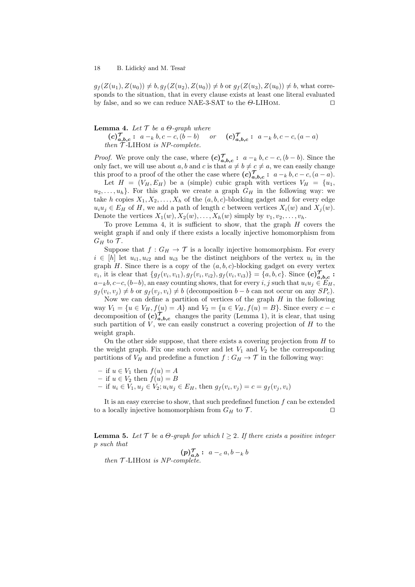$g_f(Z(u_1), Z(u_0)) \neq b, g_f(Z(u_2), Z(u_0)) \neq b$  or  $g_f(Z(u_3), Z(u_0)) \neq b$ , what corresponds to the situation, that in every clause exists at least one literal evaluated by false, and so we can reduce NAE-3-SAT to the  $\Theta$ -LIHOM.

#### **Lemma 4.** Let  $\mathcal{T}$  be a  $\Theta$ -graph where

 $(c)_{a,b,c}^{\mathcal{T}}: a_{k}b,c-c, (b-b)$  or  $(c)_{a,b,c}^{\mathcal{T}}: a_{k}b,c-c, (a-a)$  $then$   $T$ -LIHOM is NP-complete.

*Proof.* We prove only the case, where  $(c)_{a,b,c}^{\mathcal{T}}: a_{k}b, c-c, (b-b)$ . Since the only fact, we will use about a, b and c is that  $a \neq b \neq c \neq a$ , we can easily change this proof to a proof of the other the case where  $(c)_{a,b,c}^{\mathcal{T}}: a_{k}b, c-c, (a-a)$ .

Let  $H = (V_H, E_H)$  be a (simple) cubic graph with vertices  $V_H = \{u_1,$  $u_2, \ldots, u_h$ . For this graph we create a graph  $G_H$  in the following way: we take h copies  $X_1, X_2, \ldots, X_h$  of the  $(a, b, c)$ -blocking gadget and for every edge  $u_iu_j \in E_H$  of H, we add a path of length c between vertices  $X_i(w)$  and  $X_j(w)$ . Denote the vertices  $X_1(w), X_2(w), \ldots, X_h(w)$  simply by  $v_1, v_2, \ldots, v_h$ .

To prove Lemma 4, it is sufficient to show, that the graph  $H$  covers the weight graph if and only if there exists a locally injective homomorphism from  $G_H$  to  $\mathcal T$ .

Suppose that  $f: G_H \to \mathcal{T}$  is a locally injective homomorphism. For every  $i \in [h]$  let  $u_{i1}, u_{i2}$  and  $u_{i3}$  be the distinct neighbors of the vertex  $u_i$  in the graph H. Since there is a copy of the  $(a, b, c)$ -blocking gadget on every vertex  $v_i$ , it is clear that  $\{g_f(v_i, v_{i1}), g_f(v_i, v_{i2}), g_f(v_i, v_{i3})\} = \{a, b, c\}$ . Since  $(c)_{a, b, c}^{\mathcal{T}}$ :  $a-k$ ,  $c-c$ ,  $(b-b)$ , an easy counting shows, that for every i, j such that  $u_iu_j \in E_H$ ,  $g_f(v_i, v_j) \neq b$  or  $g_f(v_j, v_i) \neq b$  (decomposition  $b - b$  can not occur on any  $SP_c$ ).

Now we can define a partition of vertices of the graph  $H$  in the following way  $V_1 = \{u \in V_H, f(u) = A\}$  and  $V_2 = \{u \in V_H, f(u) = B\}$ . Since every  $c - c$ decomposition of  $(c)_{a,b,c}^{\mathcal{T}}$  changes the parity (Lemma 1), it is clear, that using such partition of  $V$ , we can easily construct a covering projection of  $H$  to the weight graph.

On the other side suppose, that there exists a covering projection from  $H$  to the weight graph. Fix one such cover and let  $V_1$  and  $V_2$  be the corresponding partitions of  $V_H$  and predefine a function  $f: G_H \to \mathcal{T}$  in the following way:

- if  $u \in V_1$  then  $f(u) = A$
- if  $u \in V_2$  then  $f(u) = B$
- if  $u_i$  ∈  $V_1, u_j$  ∈  $V_2$ ;  $u_i u_j$  ∈  $E_H$ , then  $g_f(v_i, v_j) = c = g_f(v_j, v_i)$

It is an easy exercise to show, that such predefined function  $f$  can be extended to a locally injective homomorphism from  $G_H$  to  $\mathcal T$ .

**Lemma 5.** Let  $\mathcal{T}$  be a  $\Theta$ -graph for which  $l \geq 2$ . If there exists a positive integer p such that

 $(p)_{a,b}^{\mathcal{T}}: a_{-c} a, b_{-k} b$ then  $T$ -LIHOM is NP-complete.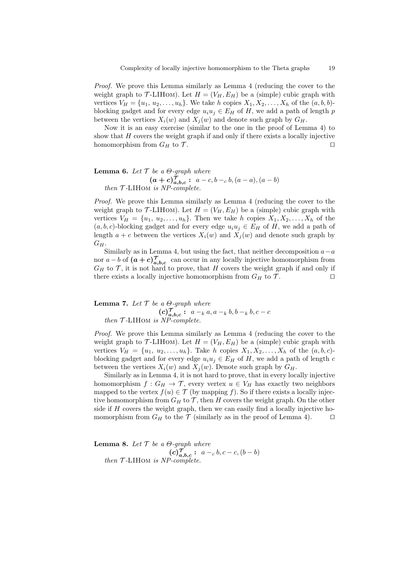Proof. We prove this Lemma similarly as Lemma 4 (reducing the cover to the weight graph to  $\mathcal{T}\text{-LIHOM}$ . Let  $H = (V_H, E_H)$  be a (simple) cubic graph with vertices  $V_H = \{u_1, u_2, \ldots, u_h\}$ . We take h copies  $X_1, X_2, \ldots, X_h$  of the  $(a, b, b)$ blocking gadget and for every edge  $u_i u_j \in E_H$  of H, we add a path of length p between the vertices  $X_i(w)$  and  $X_i(w)$  and denote such graph by  $G_H$ .

Now it is an easy exercise (similar to the one in the proof of Lemma 4) to show that  $H$  covers the weight graph if and only if there exists a locally injective homomorphism from  $G_H$  to  $\mathcal T$ .

**Lemma 6.** Let  $\mathcal{T}$  be a  $\Theta$ -graph where  $(a + c)_{a,b,c}^{\mathcal{T}}: a-c, b-c, b, (a - a), (a - b)$ then  $T$ -LIHOM is NP-complete.

Proof. We prove this Lemma similarly as Lemma 4 (reducing the cover to the weight graph to  $\mathcal{T}\text{-LIHOM}$ . Let  $H = (V_H, E_H)$  be a (simple) cubic graph with vertices  $V_H = \{u_1, u_2, \ldots, u_h\}$ . Then we take h copies  $X_1, X_2, \ldots, X_h$  of the  $(a, b, c)$ -blocking gadget and for every edge  $u_i u_j \in E_H$  of H, we add a path of length  $a + c$  between the vertices  $X_i(w)$  and  $X_j(w)$  and denote such graph by  $G_H$ .

Similarly as in Lemma 4, but using the fact, that neither decomposition  $a-a$ nor  $a - b$  of  $(a + c)_{a,b,c}^{\mathcal{T}}$  can occur in any locally injective homomorphism from  $G_H$  to  $\mathcal T$ , it is not hard to prove, that H covers the weight graph if and only if there exists a locally injective homomorphism from  $G_H$  to  $\mathcal{T}$ .

**Lemma 7.** Let  $\mathcal{T}$  be a  $\Theta$ -graph where (c) T a,b,c : a −<sup>k</sup> a, a −<sup>k</sup> b, b −<sup>k</sup> b, c − c then  $T$ -LIHOM is  $NP-complete$ .

Proof. We prove this Lemma similarly as Lemma 4 (reducing the cover to the weight graph to  $\mathcal{T}\text{-LIHOM}$ . Let  $H = (V_H, E_H)$  be a (simple) cubic graph with vertices  $V_H = \{u_1, u_2, \ldots, u_h\}$ . Take h copies  $X_1, X_2, \ldots, X_h$  of the  $(a, b, c)$ blocking gadget and for every edge  $u_i u_j \in E_H$  of H, we add a path of length c between the vertices  $X_i(w)$  and  $X_j(w)$ . Denote such graph by  $G_H$ .

Similarly as in Lemma 4, it is not hard to prove, that in every locally injective homomorphism  $f: G_H \to \mathcal{T}$ , every vertex  $u \in V_H$  has exactly two neighbors mapped to the vertex  $f(u) \in \mathcal{T}$  (by mapping f). So if there exists a locally injective homomorphism from  $G_H$  to  $\mathcal T$ , then H covers the weight graph. On the other side if  $H$  covers the weight graph, then we can easily find a locally injective homomorphism from  $G_H$  to the  $\mathcal T$  (similarly as in the proof of Lemma 4).  $\Box$ 

**Lemma 8.** Let  $\mathcal T$  be a  $\Theta$ -graph where  $(c)_{a,b,c}^{\mathcal{T}}: a-c, b, c-c, (b-b)$ then  $T$ -LIHOM is NP-complete.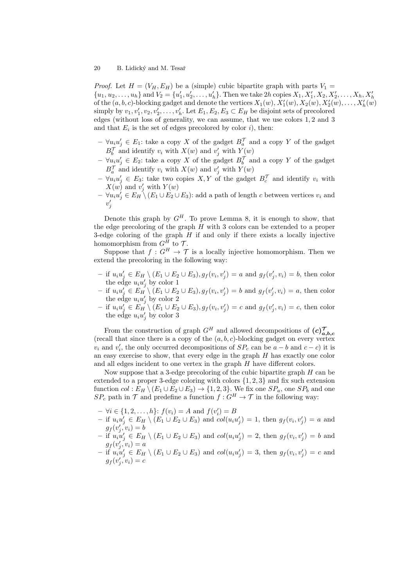*Proof.* Let  $H = (V_H, E_H)$  be a (simple) cubic bipartite graph with parts  $V_1 =$  $\{u_1, u_2, \ldots, u_h\}$  and  $V_2 = \{u'_1, u'_2, \ldots, u'_h\}$ . Then we take  $2h$  copies  $X_1, X'_1, X_2, X'_2, \ldots, X_h, X'_h\}$ of the  $(a, b, c)$ -blocking gadget and denote the vertices  $X_1(w), X'_1(w), X_2(w), X'_2(w), \ldots, X'_h(w)$ simply by  $v_1, v'_1, v_2, v'_2, \ldots, v'_h$ . Let  $E_1, E_2, E_3 \subset E_H$  be disjoint sets of precolored edges (without loss of generality, we can assume, that we use colors 1, 2 and 3 and that  $E_i$  is the set of edges precolored by color i), then:

- $-\forall u_i u'_j \in E_1$ : take a copy X of the gadget  $B_a^{\mathcal{T}}$  and a copy Y of the gadget  $B_b^{\mathcal{T}}$  and identify  $v_i$  with  $X(w)$  and  $v'_j$  with  $Y(w)$
- $-$  ∀u<sub>i</sub>u'<sub>j</sub> ∈ E<sub>2</sub>: take a copy X of the gadget  $B_b^{\mathcal{T}}$  and a copy Y of the gadget  $B_a^{\mathcal{T}}$  and identify  $v_i$  with  $X(w)$  and  $v'_j$  with  $Y(w)$
- $\forall u_i u'_j \in E_3$ : take two copies  $X, Y$  of the gadget  $B_c^{\mathcal{T}}$  and identify  $v_i$  with  $X(w)$  and  $v'_j$  with  $Y(w)$
- $-\forall u_i u'_j \in E_H \setminus (E_1 \cup E_2 \cup E_3)$ : add a path of length c between vertices  $v_i$  and  $v_j'$

Denote this graph by  $G^H$ . To prove Lemma 8, it is enough to show, that the edge precoloring of the graph  $H$  with 3 colors can be extended to a proper 3-edge coloring of the graph  $H$  if and only if there exists a locally injective homomorphism from  $G^{\tilde{H}}$  to  $\mathcal{T}$ .

Suppose that  $f: G^H \to \mathcal{T}$  is a locally injective homomorphism. Then we extend the precoloring in the following way:

- − if  $u_iu'_j \text{ } \in E_H \setminus (E_1 \cup E_2 \cup E_3), g_f(v_i, v'_j) = a$  and  $g_f(v'_j, v_i) = b$ , then color the edge  $u_i u'_j$  by color 1
- $-$  if  $u_iu'_j \in E_H$ <sup>'</sup>  $(E_1 \cup E_2 \cup E_3)$ ,  $g_f(v_i, v'_j) = b$  and  $g_f(v'_j, v_i) = a$ , then color the edge  $u_i u'_j$  by color 2
- $-$  if  $u_iu'_j \in E_H$ <sup>'</sup>  $(E_1 \cup E_2 \cup E_3)$ ,  $g_f(v_i, v'_j) = c$  and  $g_f(v'_j, v_i) = c$ , then color the edge  $u_i u'_j$  by color 3

From the construction of graph  $G^H$  and allowed decompositions of  $(c)_{a,b,c}^{\mathcal{T}}$ (recall that since there is a copy of the  $(a, b, c)$ -blocking gadget on every vertex  $v_i$  and  $v'_i$ , the only occurred decompositions of  $SP_c$  can be  $a - b$  and  $c - c$ ) it is an easy exercise to show, that every edge in the graph H has exactly one color and all edges incident to one vertex in the graph H have different colors.

Now suppose that a 3-edge precoloring of the cubic bipartite graph  $H$  can be extended to a proper 3-edge coloring with colors  $\{1, 2, 3\}$  and fix such extension function  $col : E_H \setminus (E_1 \cup E_2 \cup E_3) \rightarrow \{1, 2, 3\}$ . We fix one  $SP_a$ , one  $SP_b$  and one  $SP_c$  path in  $\mathcal T$  and predefine a function  $f: G^H \to \mathcal T$  in the following way:

- $\forall i \in \{1, 2, ..., h\}$ :  $f(v_i) = A$  and  $f(v'_i) = B$
- − if  $u_iu'_j \text{ } \in E_H \setminus (E_1 \cup E_2 \cup E_3)$  and  $col(u_iu'_j) = 1$ , then  $g_f(v_i, v'_j) = a$  and  $g_f(v'_j, v_i) = b$
- if  $u_i u'_j \in E_H \setminus (E_1 \cup E_2 \cup E_3)$  and  $col(u_i u'_j) = 2$ , then  $g_f(v_i, v'_j) = b$  and  $g_f(v'_j, v_i) = a$
- if  $u_i u'_j \in E_H \setminus (E_1 \cup E_2 \cup E_3)$  and  $col(u_i u'_j) = 3$ , then  $g_f(v_i, v'_j) = c$  and  $g_f(v'_j, v_i) = c$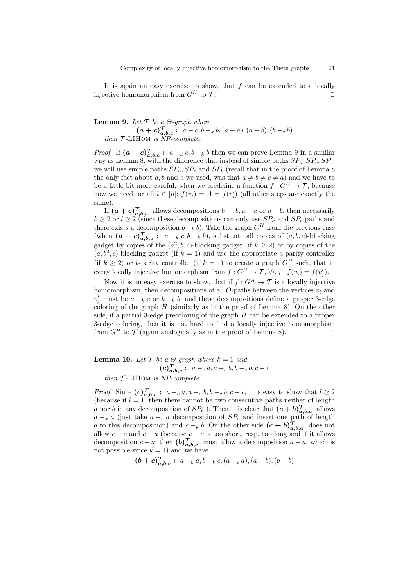It is again an easy exercise to show, that  $f$  can be extended to a locally injective homomorphism from  $G^H$  to  $\mathcal{T}$ .

# **Lemma 9.** Let  $\mathcal{T}$  be a  $\Theta$ -graph where  $(a + c)_{a,b,c}^{\mathcal{T}}: a - c, b - k, (a - a), (a - b), (b - c, b)$ then  $T$ -LIHOM is  $\overset{\cdots}{NP}$ -complete.

*Proof.* If  $(a + c)_{a,b,c}^{\mathcal{T}}: a_{k}c, b_{k}b_{k}$  then we can prove Lemma 9 in a similar way as Lemma 8, with the difference that instead of simple paths  $SP_a, SP_b, SP_c$ , we will use simple paths  $SP_a$ ,  $SP_c$  and  $SP_b$  (recall that in the proof of Lemma 8 the only fact about a, b and c we used, was that  $a \neq b \neq c \neq a$ ) and we have to be a little bit more careful, when we predefine a function  $f: G^H \to \mathcal{T}$ , because now we need for all  $i \in [h]$ :  $f(v_i) = A = f(v_i')$  (all other steps are exactly the same).

If  $(a + c)_{a,b,c}^{\mathcal{T}}$  allows decompositions  $b - c, b, a - a$  or  $a - b$ , then necessarily  $k \geq 2$  or  $l \geq 2$  (since these decompositions can only use  $SP_a$  and  $SP_b$  paths and there exists a decomposition  $b - k b$ ). Take the graph  $G<sup>H</sup>$  from the previous case (when  $(a + c)_{a,b,c}^{\mathcal{T}}: a_{k,c} \cdot b_{k}$ ), substitute all copies of  $(a, b, c)$ -blocking gadget by copies of the  $(a^2, b, c)$ -blocking gadget (if  $k \geq 2$ ) or by copies of the  $(a, b<sup>2</sup>, c)$ -blocking gadget (if  $k = 1$ ) and use the appropriate a-parity controller (if  $k \geq 2$ ) or b-parity controller (if  $k = 1$ ) to create a graph  $\overline{G^H}$  such, that in every locally injective homomorphism from  $f: \overline{G^H} \to \mathcal{T}$ ,  $\forall i, j : f(v_i) = f(v'_j)$ .

Now it is an easy exercise to show, that if  $f : \overline{G^H} \to \mathcal{T}$  is a locally injective homomorphism, then decompositions of all  $\Theta$ -paths between the vertices  $v_i$  and  $v'_j$  must be  $a - k \, c$  or  $b - k \, b$ , and these decompositions define a proper 3-edge coloring of the graph  $H$  (similarly as in the proof of Lemma 8). On the other side, if a partial 3-edge precoloring of the graph  $H$  can be extended to a proper 3-edge coloring, then it is not hard to find a locally injective homomorphism from  $\overline{G^H}$  to  $\mathcal T$  (again analogically as in the proof of Lemma 8).

**Lemma 10.** Let  $\mathcal{T}$  be a  $\Theta$ -graph where  $k = 1$  and  $(c)_{a,b,c}^{\mathcal{T}}: a_{-c} a, a_{-c} b, b_{-c} b, c - c$ 

then  $T$ -LIHOM is NP-complete.

*Proof.* Since  $(c)_{a,b,c}^{\mathcal{T}}: a_{c} a, a_{c} b, b_{c} b, c - c$ , it is easy to show that  $l \geq 2$ (because if  $l = 1$ , then there cannot be two consecutive paths neither of length a nor b in any decomposition of  $SP_c$  ). Then it is clear that  $(c + b)_{a,b,c}^{\mathcal{T}}$  allows  $a - k a$  (just take  $a - c a$  decomposition of  $SP_c$  and insert one path of length b to this decomposition) and  $c - k b$ . On the other side  $(c + b)_{a,b,c}^{\mathcal{T}}$  does not allow  $c - c$  and  $c - a$  (because  $c - c$  is too short, resp. too long and if it allows decomposition  $c - a$ , then  $(b)_{a,b,c}^{\mathcal{T}}$  must allow a decomposition  $a - a$ , which is not possible since  $k = 1$ ) and we have

$$
(b+c)_{a,b,c}^{\mathcal{T}}: a_{k}a, b_{k}c, (a_{k}a_{k}a_{k}, (a-b), (b-b))
$$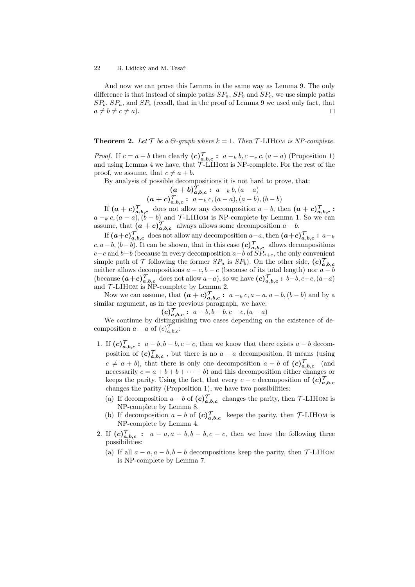And now we can prove this Lemma in the same way as Lemma 9. The only difference is that instead of simple paths  $SP_a$ ,  $SP_b$  and  $SP_c$ , we use simple paths  $SP<sub>b</sub>, SP<sub>a</sub>,$  and  $SP<sub>c</sub>$  (recall, that in the proof of Lemma 9 we used only fact, that  $a \neq b \neq c \neq a$ ).

## **Theorem 2.** Let  $\mathcal T$  be a  $\Theta$ -graph where  $k = 1$ . Then  $\mathcal T$ -LIHOM is NP-complete.

*Proof.* If  $c = a + b$  then clearly  $(c)_{a,b,c}^{\mathcal{T}}: a - k, b, c - c, (a - a)$  (Proposition 1) and using Lemma 4 we have, that  $\overrightarrow{T}$ -LIHOM is NP-complete. For the rest of the proof, we assume, that  $c \neq a + b$ .

By analysis of possible decompositions it is not hard to prove, that:

$$
(a + b)_{a,b,c}^{\mathcal{T}} : a -_k b, (a - a)
$$
  

$$
(a + c)_{a,b,c}^{\mathcal{T}} : a -_k c, (a - a), (a - b), (b - b)
$$

If  $(a+c)_{a,b,c}^{\mathcal{T}}$  does not allow any decomposition  $a-b$ , then  $(a+c)_{a,b,c}^{\mathcal{T}}$ :  $a - k \, c, (a - a), (b - b)$  and T-LIHOM is NP-complete by Lemma 1. So we can assume, that  $(a + c)_{a,b,c}^{\mathcal{T}}$  always allows some decomposition  $a - b$ .

If  $(a+c)_{a,b,c}^{\mathcal{T}}$  does not allow any decomposition  $a-a$ , then  $(a+c)_{a,b,c}^{\mathcal{T}}: a-a$ c, a – b, (b – b). It can be shown, that in this case  $(c)_{a,b,c}^{\mathcal{T}}$  allows decompositions  $c-c$  and  $b-b$  (because in every decomposition  $a-b$  of  $SP_{a+c}$ , the only convenient simple path of  $\mathcal T$  following the former  $SP_a$  is  $SP_b$ ). On the other side,  $(c)_{a,b,c}^{\mathcal T}$ neither allows decompositions  $a - c$ ,  $b - c$  (because of its total length) nor  $a - b$ (because  $(a+c)_{a,b,c}^{\mathcal{T}}$  does not allow  $a-a$ ), so we have  $(c)_{a,b,c}^{\mathcal{T}}: b-b, c-c, (a-a)$ and  $\mathcal{T}\text{-LIHOM}$  is NP-complete by Lemma 2.

Now we can assume, that  $(a + c)_{a,b,c}^{\mathcal{T}}: a - k, a - a, a - b, (b - b)$  and by a similar argument, as in the previous paragraph, we have:

$$
(c)_{a,b,c}^{\mathcal{T}}: a-b, b-b, c-c, (a-a)
$$

We continue by distinguishing two cases depending on the existence of decomposition  $a - a$  of  $(c)_{a,b,c}^{\mathcal{T}}$ :

- 1. If  $(c)_{a,b,c}^{\mathcal{T}}: a-b, b-b, c-c$ , then we know that there exists  $a-b$  decomposition of  $(c)_{a,b,c}^{\mathcal{T}}$ , but there is no  $a - a$  decomposition. It means (using  $c \neq a + b$ ), that there is only one decomposition  $a - b$  of  $(c)_{a,b,c}^{\mathcal{T}}$  (and necessarily  $c = a + b + b + \cdots + b$  and this decomposition either changes or keeps the parity. Using the fact, that every  $c - c$  decomposition of  $(c)_{a,b,c}^{\mathcal{T}}$ changes the parity (Proposition 1), we have two possibilities:
	- (a) If decomposition  $a b$  of  $(c)_{a,b,c}^{\mathcal{T}}$  changes the parity, then  $\mathcal{T}\text{-LIHOM}$  is NP-complete by Lemma 8.
	- (b) If decomposition  $a b$  of  $(c)_{a,b,c}^{\mathcal{T}}$  keeps the parity, then T-LIHOM is NP-complete by Lemma 4.
- 2. If  $(c)_{a,b,c}^{\mathcal{T}}: a-a, a-b, b-b, c-c$ , then we have the following three possibilities:
	- (a) If all  $a a$ ,  $a b$ ,  $b b$  decompositions keep the parity, then  $\mathcal{T}\text{-LIHOM}$ is NP-complete by Lemma 7.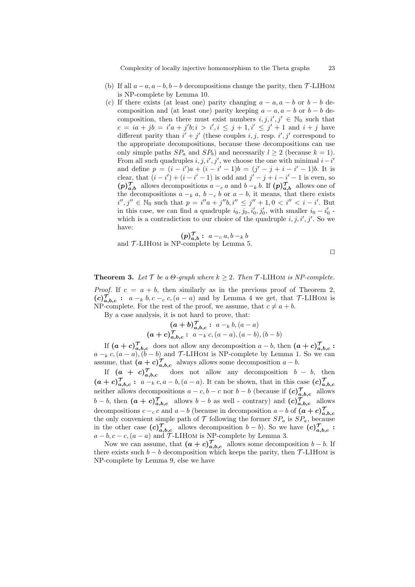Complexity of locally injective homomorphism to the Theta graphs 23

- (b) If all  $a-a$ ,  $a-b$ ,  $b-b$  decompositions change the parity, then  $\mathcal{T}$ -LIHOM is NP-complete by Lemma 10.
- (c) If there exists (at least one) parity changing  $a a, a b$  or  $b b$  decomposition and (at least one) parity keeping  $a - a$ ,  $a - b$  or  $b - b$  decomposition, then there must exist numbers  $i, j, i', j' \in \mathbb{N}_0$  such that  $c = ia + jb = i'a + j'b; i > i', i \le j + 1, i' \le j' + 1$  and  $i + j$  have different parity than  $i' + j'$  (these couples i, j, resp. i', j' correspond to the appropriate decompositions, because these decompositions can use only simple paths  $SP_a$  and  $SP_b$ ) and necessarily  $l \geq 2$  (because  $k = 1$ ). From all such quadruples  $i, j, i', j'$ , we choose the one with minimal  $i-i'$ and define  $p = (i - i')a + (i - i' - 1)b = (j' - j + i - i' - 1)b$ . It is clear, that  $(i - i') + (i - i' - 1)$  is odd and  $j' - j + i - i' - 1$  is even, so  $(p)_{a,b}^{\mathcal{T}}$  allows decompositions  $a - a$  and  $b - k b$ . If  $(p)_{a,b}^{\mathcal{T}}$  allows one of the decompositions  $a - k a$ ,  $b - c b$  or  $a - b$ , it means, that there exists  $i'', j'' \in \mathbb{N}_0$  such that  $p = i''a + j''b$ ,  $i'' \leq j'' + 1$ ,  $0 < i'' < i - i'$ . But in this case, we can find a quadruple  $i_0, j_0, i'_0, j'_0$ , with smaller  $i_0 - i'_0$ . which is a contradiction to our choice of the quadruple  $i, j, i', j'$ . So we have:

$$
(p)_{a,b}^{\mathcal{T}}: a -_c a, b -_k b
$$

and  $\mathcal{T}$ -LIHOM is NP-complete by Lemma 5.

$$
\qquad \qquad \Box
$$

**Theorem 3.** Let  $\mathcal{T}$  be a  $\Theta$ -graph where  $k \geq 2$ . Then  $\mathcal{T}$ -LIHOM is NP-complete. *Proof.* If  $c = a + b$ , then similarly as in the previous proof of Theorem 2,  $(c)$ , $\overline{\mathcal{J}}_{a,b,c}$ :  $a - k b, c - c, (a - a)$  and by Lemma 4 we get, that  $\mathcal{T}\text{-LIHOM}$  is NP-complete. For the rest of the proof, we assume, that  $c \neq a + b$ .

By a case analysis, it is not hard to prove, that:

$$
(a + b)_{a,b,c}^{\mathcal{T}} : a -_k b, (a - a)
$$
  

$$
(a + c)_{a,b,c}^{\mathcal{T}} : a -_k c, (a - a), (a - b), (b - b)
$$

If  $(a+c)_{a,b,c}^{\mathcal{T}}$  does not allow any decomposition  $a-b$ , then  $(a+c)_{a,b,c}^{\mathcal{T}}$ :  $a - k c$ ,  $(a - a)$ ,  $(b - b)$  and T-LIHOM is NP-complete by Lemma 1. So we can assume, that  $(a + c)_{a,b,c}^{\mathcal{T}}$  always allows some decomposition  $a - b$ .

If  $(a + c)<sub>a</sub>^{\tau}$ does not allow any decomposition  $b - b$ , then  $(a + c)_{a,b,c}^{\mathcal{T}}: a -_k c, a - b, (a - a)$ . It can be shown, that in this case  $(c)_{a,b,c}^{\mathcal{T}}$ neither allows decompositions  $a - c, b - c$  nor  $b - b$  (because if  $(c)_{a,b,c}^{\mathcal{T}}$  allows  $b-b$ , then  $(a + c)_{a,b,c}^{\mathcal{T}}$  allows  $b - b$  as well - contrary) and  $(c)_{a,b,c}^{\mathcal{T}}$  allows decompositions  $c - c$  and  $a - b$  (because in decomposition  $a - b$  of  $(a + c)_{a,b,c}^{\mathcal{T}}$ the only convenient simple path of  $\mathcal T$  following the former  $SP_a$  is  $SP_a$ , because in the other case  $(c)_{a,b,c}^{\mathcal{T}}$  allows decomposition  $b-b$ ). So we have  $(c)_{a,b,c}^{\mathcal{T}}$ :  $a - b, c - c, (a - a)$  and  $\mathcal{T}$ -LIHOM is NP-complete by Lemma 3.

Now we can assume, that  $(a + c)_{a,b,c}^{\mathcal{T}}$  allows some decomposition  $b - b$ . If there exists such  $b - b$  decomposition which keeps the parity, then  $\mathcal{T}\text{-LIHOM}$  is NP-complete by Lemma 9, else we have